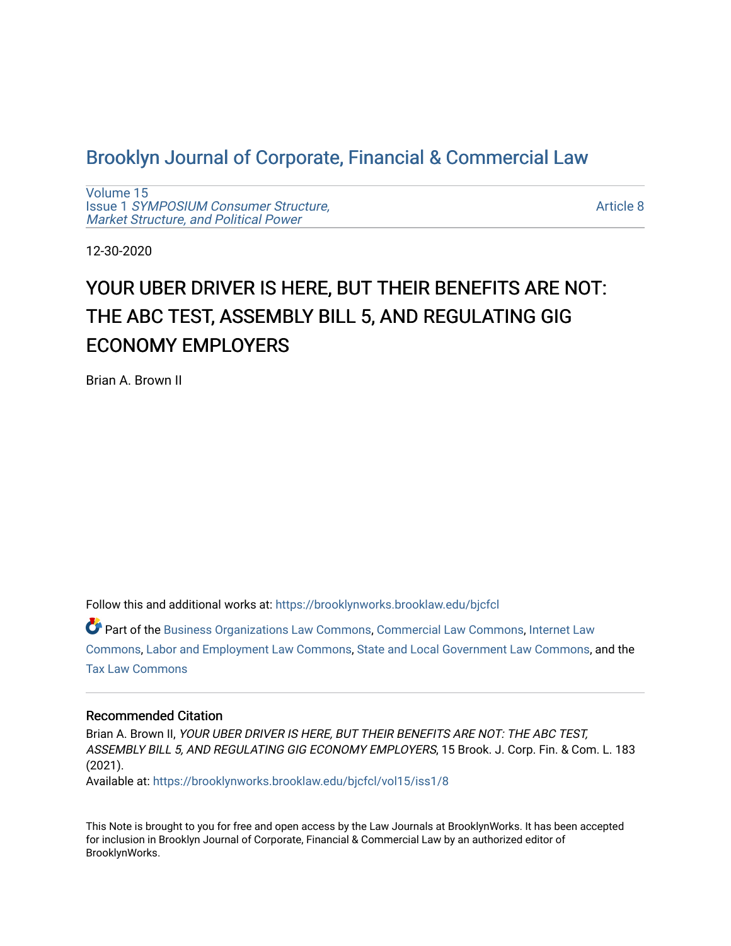## [Brooklyn Journal of Corporate, Financial & Commercial Law](https://brooklynworks.brooklaw.edu/bjcfcl)

[Volume 15](https://brooklynworks.brooklaw.edu/bjcfcl/vol15) Issue 1 [SYMPOSIUM Consumer Structure,](https://brooklynworks.brooklaw.edu/bjcfcl/vol15/iss1) [Market Structure, and Political Power](https://brooklynworks.brooklaw.edu/bjcfcl/vol15/iss1)

[Article 8](https://brooklynworks.brooklaw.edu/bjcfcl/vol15/iss1/8) 

12-30-2020

# YOUR UBER DRIVER IS HERE, BUT THEIR BENEFITS ARE NOT: THE ABC TEST, ASSEMBLY BILL 5, AND REGULATING GIG ECONOMY EMPLOYERS

Brian A. Brown II

Follow this and additional works at: [https://brooklynworks.brooklaw.edu/bjcfcl](https://brooklynworks.brooklaw.edu/bjcfcl?utm_source=brooklynworks.brooklaw.edu%2Fbjcfcl%2Fvol15%2Fiss1%2F8&utm_medium=PDF&utm_campaign=PDFCoverPages)

Part of the [Business Organizations Law Commons](http://network.bepress.com/hgg/discipline/900?utm_source=brooklynworks.brooklaw.edu%2Fbjcfcl%2Fvol15%2Fiss1%2F8&utm_medium=PDF&utm_campaign=PDFCoverPages), [Commercial Law Commons,](http://network.bepress.com/hgg/discipline/586?utm_source=brooklynworks.brooklaw.edu%2Fbjcfcl%2Fvol15%2Fiss1%2F8&utm_medium=PDF&utm_campaign=PDFCoverPages) [Internet Law](http://network.bepress.com/hgg/discipline/892?utm_source=brooklynworks.brooklaw.edu%2Fbjcfcl%2Fvol15%2Fiss1%2F8&utm_medium=PDF&utm_campaign=PDFCoverPages) [Commons](http://network.bepress.com/hgg/discipline/892?utm_source=brooklynworks.brooklaw.edu%2Fbjcfcl%2Fvol15%2Fiss1%2F8&utm_medium=PDF&utm_campaign=PDFCoverPages), [Labor and Employment Law Commons,](http://network.bepress.com/hgg/discipline/909?utm_source=brooklynworks.brooklaw.edu%2Fbjcfcl%2Fvol15%2Fiss1%2F8&utm_medium=PDF&utm_campaign=PDFCoverPages) [State and Local Government Law Commons](http://network.bepress.com/hgg/discipline/879?utm_source=brooklynworks.brooklaw.edu%2Fbjcfcl%2Fvol15%2Fiss1%2F8&utm_medium=PDF&utm_campaign=PDFCoverPages), and the [Tax Law Commons](http://network.bepress.com/hgg/discipline/898?utm_source=brooklynworks.brooklaw.edu%2Fbjcfcl%2Fvol15%2Fiss1%2F8&utm_medium=PDF&utm_campaign=PDFCoverPages)

## Recommended Citation

Brian A. Brown II, YOUR UBER DRIVER IS HERE, BUT THEIR BENEFITS ARE NOT: THE ABC TEST, ASSEMBLY BILL 5, AND REGULATING GIG ECONOMY EMPLOYERS, 15 Brook. J. Corp. Fin. & Com. L. 183 (2021). Available at: [https://brooklynworks.brooklaw.edu/bjcfcl/vol15/iss1/8](https://brooklynworks.brooklaw.edu/bjcfcl/vol15/iss1/8?utm_source=brooklynworks.brooklaw.edu%2Fbjcfcl%2Fvol15%2Fiss1%2F8&utm_medium=PDF&utm_campaign=PDFCoverPages)

This Note is brought to you for free and open access by the Law Journals at BrooklynWorks. It has been accepted for inclusion in Brooklyn Journal of Corporate, Financial & Commercial Law by an authorized editor of BrooklynWorks.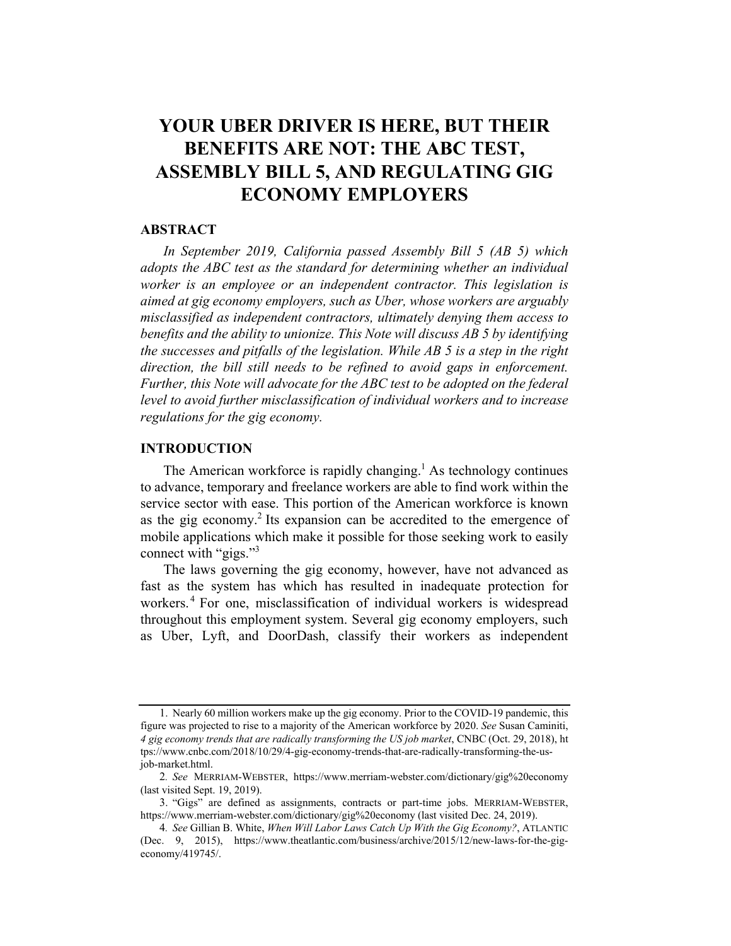## YOUR UBER DRIVER IS HERE, BUT THEIR BENEFITS ARE NOT: THE ABC TEST, ASSEMBLY BILL 5, AND REGULATING GIG ECONOMY EMPLOYERS

## **ABSTRACT**

In September 2019, California passed Assembly Bill 5 (AB 5) which adopts the ABC test as the standard for determining whether an individual worker is an employee or an independent contractor. This legislation is aimed at gig economy employers, such as Uber, whose workers are arguably misclassified as independent contractors, ultimately denying them access to benefits and the ability to unionize. This Note will discuss AB 5 by identifying the successes and pitfalls of the legislation. While AB 5 is a step in the right direction, the bill still needs to be refined to avoid gaps in enforcement. Further, this Note will advocate for the ABC test to be adopted on the federal level to avoid further misclassification of individual workers and to increase regulations for the gig economy.

## INTRODUCTION

The American workforce is rapidly changing.<sup>1</sup> As technology continues to advance, temporary and freelance workers are able to find work within the service sector with ease. This portion of the American workforce is known as the gig economy.2 Its expansion can be accredited to the emergence of mobile applications which make it possible for those seeking work to easily connect with "gigs."<sup>3</sup>

The laws governing the gig economy, however, have not advanced as fast as the system has which has resulted in inadequate protection for workers.<sup>4</sup> For one, misclassification of individual workers is widespread throughout this employment system. Several gig economy employers, such as Uber, Lyft, and DoorDash, classify their workers as independent

<sup>1.</sup> Nearly 60 million workers make up the gig economy. Prior to the COVID-19 pandemic, this figure was projected to rise to a majority of the American workforce by 2020. See Susan Caminiti, 4 gig economy trends that are radically transforming the US job market, CNBC (Oct. 29, 2018), ht tps://www.cnbc.com/2018/10/29/4-gig-economy-trends-that-are-radically-transforming-the-usjob-market.html.

<sup>2</sup>. See MERRIAM-WEBSTER, https://www.merriam-webster.com/dictionary/gig%20economy (last visited Sept. 19, 2019).

<sup>3.</sup> "Gigs" are defined as assignments, contracts or part-time jobs. MERRIAM-WEBSTER, https://www.merriam-webster.com/dictionary/gig%20economy (last visited Dec. 24, 2019).

<sup>4</sup>. See Gillian B. White, When Will Labor Laws Catch Up With the Gig Economy?, ATLANTIC (Dec. 9, 2015), https://www.theatlantic.com/business/archive/2015/12/new-laws-for-the-gigeconomy/419745/.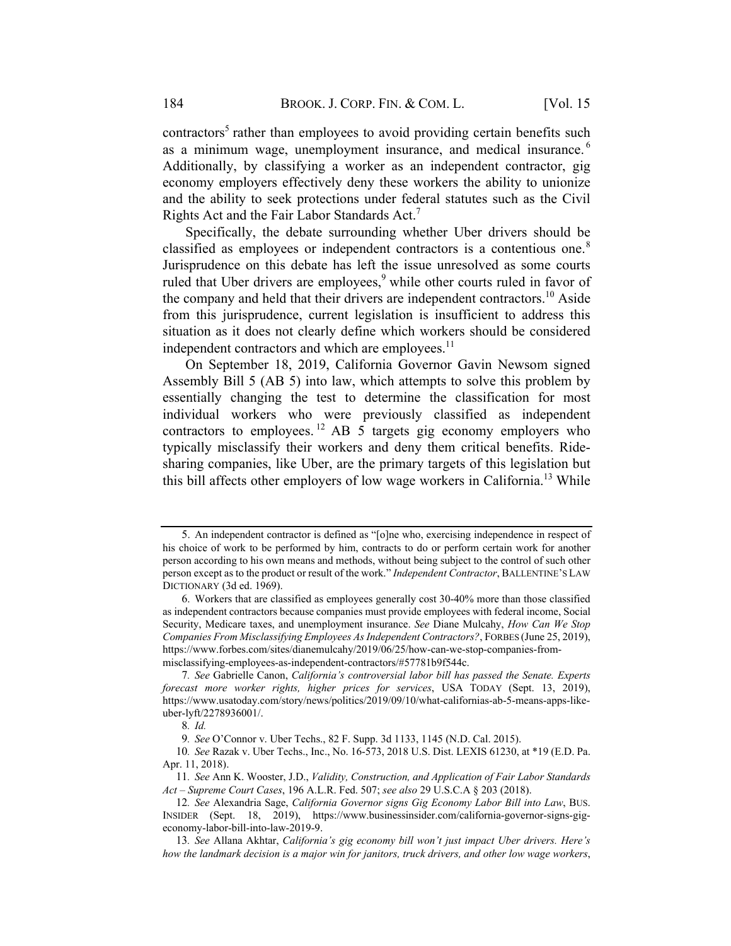contractors<sup>5</sup> rather than employees to avoid providing certain benefits such as a minimum wage, unemployment insurance, and medical insurance. <sup>6</sup> Additionally, by classifying a worker as an independent contractor, gig economy employers effectively deny these workers the ability to unionize and the ability to seek protections under federal statutes such as the Civil Rights Act and the Fair Labor Standards Act.7

Specifically, the debate surrounding whether Uber drivers should be classified as employees or independent contractors is a contentious one.<sup>8</sup> Jurisprudence on this debate has left the issue unresolved as some courts ruled that Uber drivers are employees, $9$  while other courts ruled in favor of the company and held that their drivers are independent contractors.<sup>10</sup> Aside from this jurisprudence, current legislation is insufficient to address this situation as it does not clearly define which workers should be considered independent contractors and which are employees. $<sup>11</sup>$ </sup>

On September 18, 2019, California Governor Gavin Newsom signed Assembly Bill 5 (AB 5) into law, which attempts to solve this problem by essentially changing the test to determine the classification for most individual workers who were previously classified as independent contractors to employees. <sup>12</sup> AB 5 targets gig economy employers who typically misclassify their workers and deny them critical benefits. Ridesharing companies, like Uber, are the primary targets of this legislation but this bill affects other employers of low wage workers in California.<sup>13</sup> While

<sup>5.</sup> An independent contractor is defined as "[o]ne who, exercising independence in respect of his choice of work to be performed by him, contracts to do or perform certain work for another person according to his own means and methods, without being subject to the control of such other person except as to the product or result of the work." Independent Contractor, BALLENTINE'S LAW DICTIONARY (3d ed. 1969).

<sup>6.</sup> Workers that are classified as employees generally cost 30-40% more than those classified as independent contractors because companies must provide employees with federal income, Social Security, Medicare taxes, and unemployment insurance. See Diane Mulcahy, How Can We Stop Companies From Misclassifying Employees As Independent Contractors?, FORBES (June 25, 2019), https://www.forbes.com/sites/dianemulcahy/2019/06/25/how-can-we-stop-companies-frommisclassifying-employees-as-independent-contractors/#57781b9f544c.

<sup>7</sup>. See Gabrielle Canon, California's controversial labor bill has passed the Senate. Experts forecast more worker rights, higher prices for services, USA TODAY (Sept. 13, 2019), https://www.usatoday.com/story/news/politics/2019/09/10/what-californias-ab-5-means-apps-likeuber-lyft/2278936001/.

<sup>8</sup>. Id.

<sup>9</sup>. See O'Connor v. Uber Techs., 82 F. Supp. 3d 1133, 1145 (N.D. Cal. 2015).

<sup>10</sup>. See Razak v. Uber Techs., Inc., No. 16-573, 2018 U.S. Dist. LEXIS 61230, at \*19 (E.D. Pa. Apr. 11, 2018).

<sup>11</sup>. See Ann K. Wooster, J.D., Validity, Construction, and Application of Fair Labor Standards Act – Supreme Court Cases, 196 A.L.R. Fed. 507; see also 29 U.S.C.A § 203 (2018).

<sup>12</sup>. See Alexandria Sage, California Governor signs Gig Economy Labor Bill into Law, BUS. INSIDER (Sept. 18, 2019), https://www.businessinsider.com/california-governor-signs-gigeconomy-labor-bill-into-law-2019-9.

<sup>13</sup>. See Allana Akhtar, California's gig economy bill won't just impact Uber drivers. Here's how the landmark decision is a major win for janitors, truck drivers, and other low wage workers,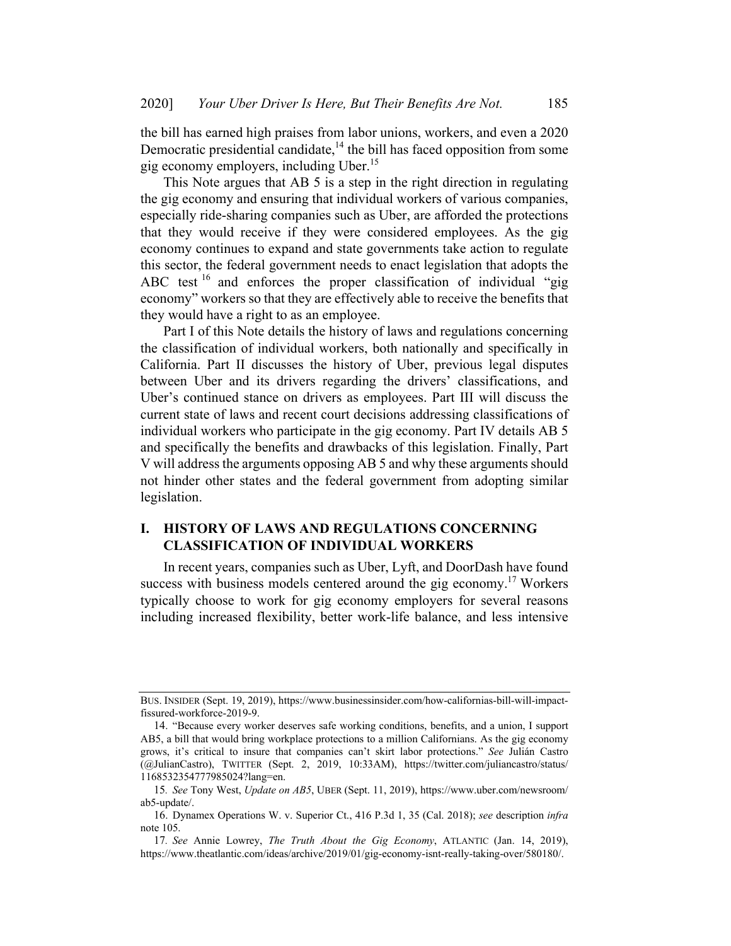the bill has earned high praises from labor unions, workers, and even a 2020 Democratic presidential candidate,  $14$  the bill has faced opposition from some gig economy employers, including Uber.15

This Note argues that AB 5 is a step in the right direction in regulating the gig economy and ensuring that individual workers of various companies, especially ride-sharing companies such as Uber, are afforded the protections that they would receive if they were considered employees. As the gig economy continues to expand and state governments take action to regulate this sector, the federal government needs to enact legislation that adopts the ABC test <sup>16</sup> and enforces the proper classification of individual "gig economy" workers so that they are effectively able to receive the benefits that they would have a right to as an employee.

Part I of this Note details the history of laws and regulations concerning the classification of individual workers, both nationally and specifically in California. Part II discusses the history of Uber, previous legal disputes between Uber and its drivers regarding the drivers' classifications, and Uber's continued stance on drivers as employees. Part III will discuss the current state of laws and recent court decisions addressing classifications of individual workers who participate in the gig economy. Part IV details AB 5 and specifically the benefits and drawbacks of this legislation. Finally, Part V will address the arguments opposing AB 5 and why these arguments should not hinder other states and the federal government from adopting similar legislation.

## I. HISTORY OF LAWS AND REGULATIONS CONCERNING **CLASSIFICATION OF INDIVIDUAL WORKERS**

In recent years, companies such as Uber, Lyft, and DoorDash have found success with business models centered around the gig economy.<sup>17</sup> Workers typically choose to work for gig economy employers for several reasons including increased flexibility, better work-life balance, and less intensive

BUS. INSIDER (Sept. 19, 2019), https://www.businessinsider.com/how-californias-bill-will-impactfissured-workforce-2019-9.

<sup>14.</sup> "Because every worker deserves safe working conditions, benefits, and a union, I support AB5, a bill that would bring workplace protections to a million Californians. As the gig economy grows, it's critical to insure that companies can't skirt labor protections." See Julián Castro (@JulianCastro), TWITTER (Sept. 2, 2019, 10:33AM), https://twitter.com/juliancastro/status/ 1168532354777985024?lang=en.

<sup>15</sup>. See Tony West, Update on AB5, UBER (Sept. 11, 2019), https://www.uber.com/newsroom/ ab5-update/.

<sup>16.</sup> Dynamex Operations W. v. Superior Ct., 416 P.3d 1, 35 (Cal. 2018); see description infra note 105.

<sup>17</sup>. See Annie Lowrey, The Truth About the Gig Economy, ATLANTIC (Jan. 14, 2019), https://www.theatlantic.com/ideas/archive/2019/01/gig-economy-isnt-really-taking-over/580180/.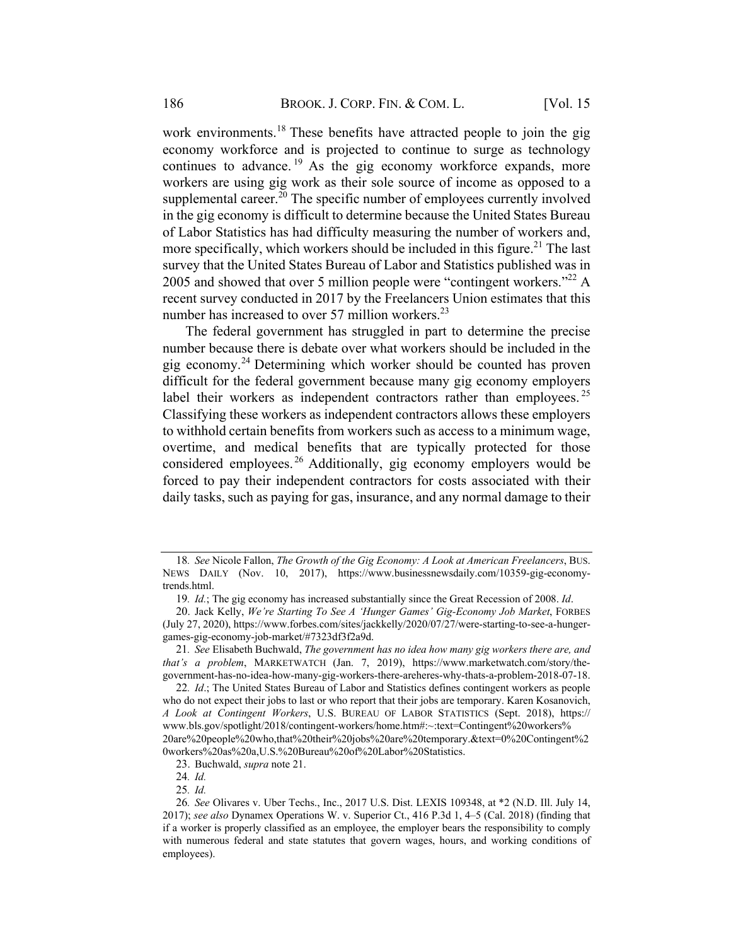work environments.<sup>18</sup> These benefits have attracted people to join the gig economy workforce and is projected to continue to surge as technology continues to advance.<sup>19</sup> As the gig economy workforce expands, more workers are using gig work as their sole source of income as opposed to a supplemental career.<sup>20</sup> The specific number of employees currently involved in the gig economy is difficult to determine because the United States Bureau of Labor Statistics has had difficulty measuring the number of workers and, more specifically, which workers should be included in this figure.<sup>21</sup> The last survey that the United States Bureau of Labor and Statistics published was in 2005 and showed that over 5 million people were "contingent workers."<sup>22</sup> A recent survey conducted in 2017 by the Freelancers Union estimates that this number has increased to over 57 million workers. $^{23}$ 

The federal government has struggled in part to determine the precise number because there is debate over what workers should be included in the gig economy.<sup>24</sup> Determining which worker should be counted has proven difficult for the federal government because many gig economy employers label their workers as independent contractors rather than employees.  $25$ Classifying these workers as independent contractors allows these employers to withhold certain benefits from workers such as access to a minimum wage, overtime, and medical benefits that are typically protected for those considered employees.<sup>26</sup> Additionally, gig economy employers would be forced to pay their independent contractors for costs associated with their daily tasks, such as paying for gas, insurance, and any normal damage to their

25. Id.

<sup>18</sup>. See Nicole Fallon, The Growth of the Gig Economy: A Look at American Freelancers, BUS. NEWS DAILY (Nov. 10, 2017), https://www.businessnewsdaily.com/10359-gig-economytrends.html.

<sup>19</sup>. Id.; The gig economy has increased substantially since the Great Recession of 2008. Id.

<sup>20.</sup> Jack Kelly, We're Starting To See A 'Hunger Games' Gig-Economy Job Market, FORBES (July 27, 2020), https://www.forbes.com/sites/jackkelly/2020/07/27/were-starting-to-see-a-hungergames-gig-economy-job-market/#7323df3f2a9d.

<sup>21</sup>. See Elisabeth Buchwald, The government has no idea how many gig workers there are, and that's a problem, MARKETWATCH (Jan. 7, 2019), https://www.marketwatch.com/story/thegovernment-has-no-idea-how-many-gig-workers-there-areheres-why-thats-a-problem-2018-07-18.

<sup>22</sup>. Id.; The United States Bureau of Labor and Statistics defines contingent workers as people who do not expect their jobs to last or who report that their jobs are temporary. Karen Kosanovich, A Look at Contingent Workers, U.S. BUREAU OF LABOR STATISTICS (Sept. 2018), https:// www.bls.gov/spotlight/2018/contingent-workers/home.htm#:~:text=Contingent%20workers% 20are%20people%20who,that%20their%20jobs%20are%20temporary.&text=0%20Contingent%2 0workers%20as%20a,U.S.%20Bureau%20of%20Labor%20Statistics.

<sup>23.</sup> Buchwald, supra note 21.

<sup>24</sup>. Id.

<sup>26</sup>. See Olivares v. Uber Techs., Inc., 2017 U.S. Dist. LEXIS 109348, at \*2 (N.D. Ill. July 14, 2017); see also Dynamex Operations W. v. Superior Ct., 416 P.3d 1, 4–5 (Cal. 2018) (finding that if a worker is properly classified as an employee, the employer bears the responsibility to comply with numerous federal and state statutes that govern wages, hours, and working conditions of employees).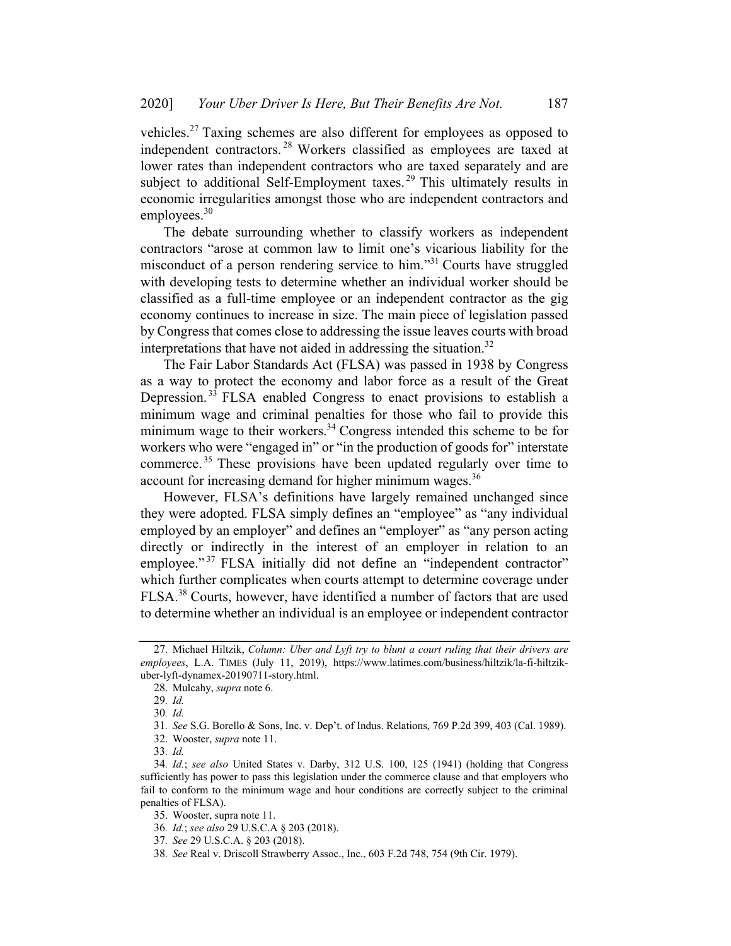vehicles.<sup>27</sup> Taxing schemes are also different for employees as opposed to independent contractors. <sup>28</sup> Workers classified as employees are taxed at lower rates than independent contractors who are taxed separately and are subject to additional Self-Employment taxes.<sup>29</sup> This ultimately results in economic irregularities amongst those who are independent contractors and employees.<sup>30</sup>

The debate surrounding whether to classify workers as independent contractors "arose at common law to limit one's vicarious liability for the misconduct of a person rendering service to him."31 Courts have struggled with developing tests to determine whether an individual worker should be classified as a full-time employee or an independent contractor as the gig economy continues to increase in size. The main piece of legislation passed by Congress that comes close to addressing the issue leaves courts with broad interpretations that have not aided in addressing the situation. $32$ 

The Fair Labor Standards Act (FLSA) was passed in 1938 by Congress as a way to protect the economy and labor force as a result of the Great Depression. <sup>33</sup> FLSA enabled Congress to enact provisions to establish a minimum wage and criminal penalties for those who fail to provide this minimum wage to their workers.<sup>34</sup> Congress intended this scheme to be for workers who were "engaged in" or "in the production of goods for" interstate commerce. <sup>35</sup> These provisions have been updated regularly over time to account for increasing demand for higher minimum wages.<sup>36</sup>

However, FLSA's definitions have largely remained unchanged since they were adopted. FLSA simply defines an "employee" as "any individual employed by an employer" and defines an "employer" as "any person acting directly or indirectly in the interest of an employer in relation to an employee."<sup>37</sup> FLSA initially did not define an "independent contractor" which further complicates when courts attempt to determine coverage under FLSA.<sup>38</sup> Courts, however, have identified a number of factors that are used to determine whether an individual is an employee or independent contractor

38. See Real v. Driscoll Strawberry Assoc., Inc., 603 F.2d 748, 754 (9th Cir. 1979).

<sup>27.</sup> Michael Hiltzik, Column: Uber and Lyft try to blunt a court ruling that their drivers are employees, L.A. TIMES (July 11, 2019), https://www.latimes.com/business/hiltzik/la-fi-hiltzikuber-lyft-dynamex-20190711-story.html.

<sup>28.</sup> Mulcahy, supra note 6.

<sup>29</sup>. Id.

<sup>30</sup>. Id.

<sup>31</sup>. See S.G. Borello & Sons, Inc. v. Dep't. of Indus. Relations, 769 P.2d 399, 403 (Cal. 1989).

<sup>32.</sup> Wooster, supra note 11.

<sup>33</sup>. Id.

<sup>34</sup>. Id.; see also United States v. Darby, 312 U.S. 100, 125 (1941) (holding that Congress sufficiently has power to pass this legislation under the commerce clause and that employers who fail to conform to the minimum wage and hour conditions are correctly subject to the criminal penalties of FLSA).

<sup>35.</sup> Wooster, supra note 11.

<sup>36</sup>. Id.; see also 29 U.S.C.A § 203 (2018).

<sup>37</sup>. See 29 U.S.C.A. § 203 (2018).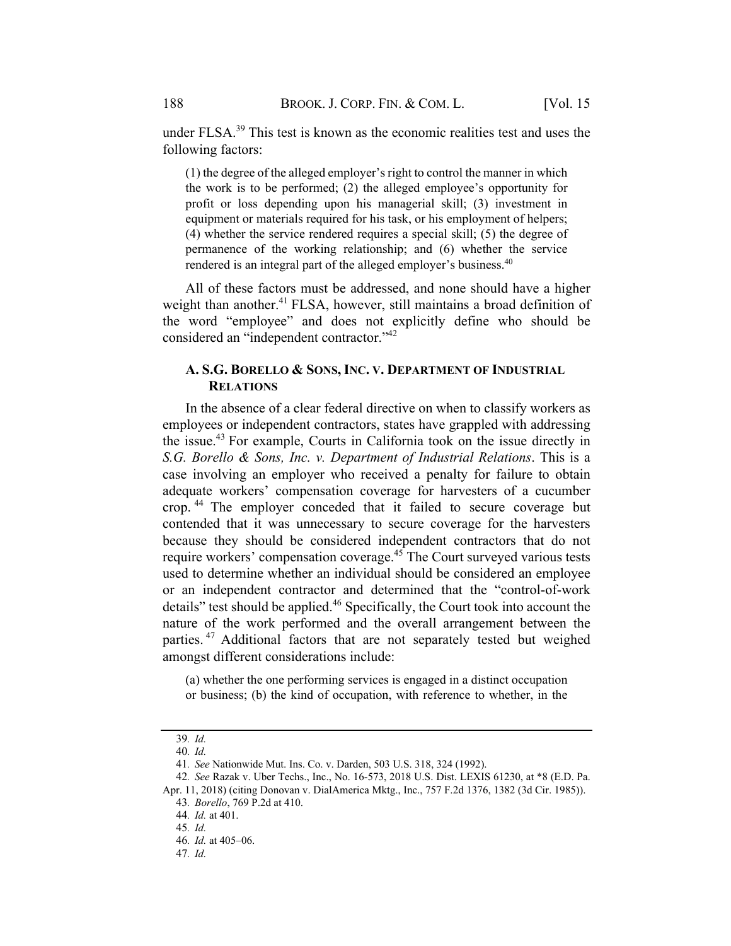under FLSA.<sup>39</sup> This test is known as the economic realities test and uses the following factors:

(1) the degree of the alleged employer'sright to control the manner in which the work is to be performed; (2) the alleged employee's opportunity for profit or loss depending upon his managerial skill; (3) investment in equipment or materials required for his task, or his employment of helpers; (4) whether the service rendered requires a special skill; (5) the degree of permanence of the working relationship; and (6) whether the service rendered is an integral part of the alleged employer's business.<sup>40</sup>

All of these factors must be addressed, and none should have a higher weight than another.<sup>41</sup> FLSA, however, still maintains a broad definition of the word "employee" and does not explicitly define who should be considered an "independent contractor."42

## A. S.G. BORELLO & SONS, INC. V. DEPARTMENT OF INDUSTRIAL **RELATIONS**

In the absence of a clear federal directive on when to classify workers as employees or independent contractors, states have grappled with addressing the issue.<sup>43</sup> For example, Courts in California took on the issue directly in S.G. Borello & Sons, Inc. v. Department of Industrial Relations. This is a case involving an employer who received a penalty for failure to obtain adequate workers' compensation coverage for harvesters of a cucumber crop. <sup>44</sup> The employer conceded that it failed to secure coverage but contended that it was unnecessary to secure coverage for the harvesters because they should be considered independent contractors that do not require workers' compensation coverage.<sup>45</sup> The Court surveyed various tests used to determine whether an individual should be considered an employee or an independent contractor and determined that the "control-of-work details" test should be applied.<sup>46</sup> Specifically, the Court took into account the nature of the work performed and the overall arrangement between the parties. <sup>47</sup> Additional factors that are not separately tested but weighed amongst different considerations include:

(a) whether the one performing services is engaged in a distinct occupation or business; (b) the kind of occupation, with reference to whether, in the

<sup>39</sup>. Id.

<sup>40</sup>. Id.

<sup>41</sup>. See Nationwide Mut. Ins. Co. v. Darden, 503 U.S. 318, 324 (1992).

<sup>42</sup>. See Razak v. Uber Techs., Inc., No. 16-573, 2018 U.S. Dist. LEXIS 61230, at \*8 (E.D. Pa.

Apr. 11, 2018) (citing Donovan v. DialAmerica Mktg., Inc., 757 F.2d 1376, 1382 (3d Cir. 1985)).

<sup>43</sup>. Borello, 769 P.2d at 410.

<sup>44</sup>. Id. at 401.

<sup>45</sup>. Id.

<sup>46</sup>. Id. at 405–06.

<sup>47</sup>. Id.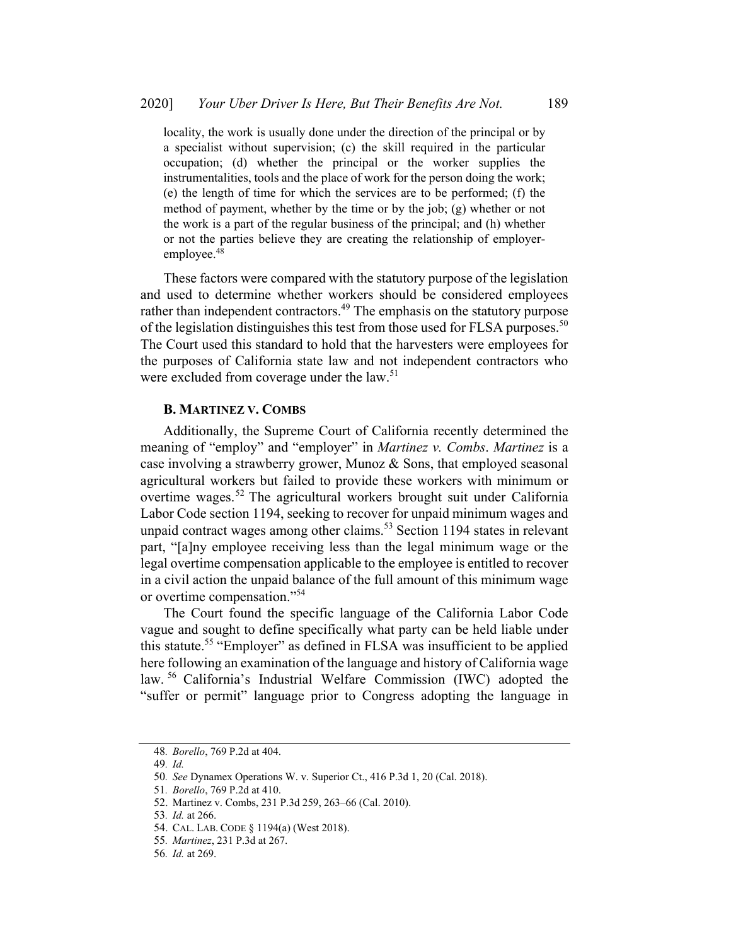locality, the work is usually done under the direction of the principal or by a specialist without supervision; (c) the skill required in the particular occupation; (d) whether the principal or the worker supplies the instrumentalities, tools and the place of work for the person doing the work; (e) the length of time for which the services are to be performed; (f) the method of payment, whether by the time or by the job; (g) whether or not the work is a part of the regular business of the principal; and (h) whether or not the parties believe they are creating the relationship of employeremployee.<sup>48</sup>

These factors were compared with the statutory purpose of the legislation and used to determine whether workers should be considered employees rather than independent contractors.<sup>49</sup> The emphasis on the statutory purpose of the legislation distinguishes this test from those used for FLSA purposes.<sup>50</sup> The Court used this standard to hold that the harvesters were employees for the purposes of California state law and not independent contractors who were excluded from coverage under the law.<sup>51</sup>

### **B. MARTINEZ V. COMBS**

Additionally, the Supreme Court of California recently determined the meaning of "employ" and "employer" in Martinez v. Combs. Martinez is a case involving a strawberry grower, Munoz & Sons, that employed seasonal agricultural workers but failed to provide these workers with minimum or overtime wages.<sup>52</sup> The agricultural workers brought suit under California Labor Code section 1194, seeking to recover for unpaid minimum wages and unpaid contract wages among other claims. $53$  Section 1194 states in relevant part, "[a]ny employee receiving less than the legal minimum wage or the legal overtime compensation applicable to the employee is entitled to recover in a civil action the unpaid balance of the full amount of this minimum wage or overtime compensation."54

The Court found the specific language of the California Labor Code vague and sought to define specifically what party can be held liable under this statute.<sup>55</sup> "Employer" as defined in FLSA was insufficient to be applied here following an examination of the language and history of California wage law. <sup>56</sup> California's Industrial Welfare Commission (IWC) adopted the "suffer or permit" language prior to Congress adopting the language in

<sup>48</sup>. Borello, 769 P.2d at 404.

<sup>49</sup>. Id.

<sup>50</sup>. See Dynamex Operations W. v. Superior Ct., 416 P.3d 1, 20 (Cal. 2018).

<sup>51</sup>. Borello, 769 P.2d at 410.

<sup>52.</sup> Martinez v. Combs, 231 P.3d 259, 263–66 (Cal. 2010).

<sup>53</sup>. Id. at 266.

<sup>54.</sup> CAL. LAB. CODE § 1194(a) (West 2018).

<sup>55</sup>. Martinez, 231 P.3d at 267.

<sup>56</sup>. Id. at 269.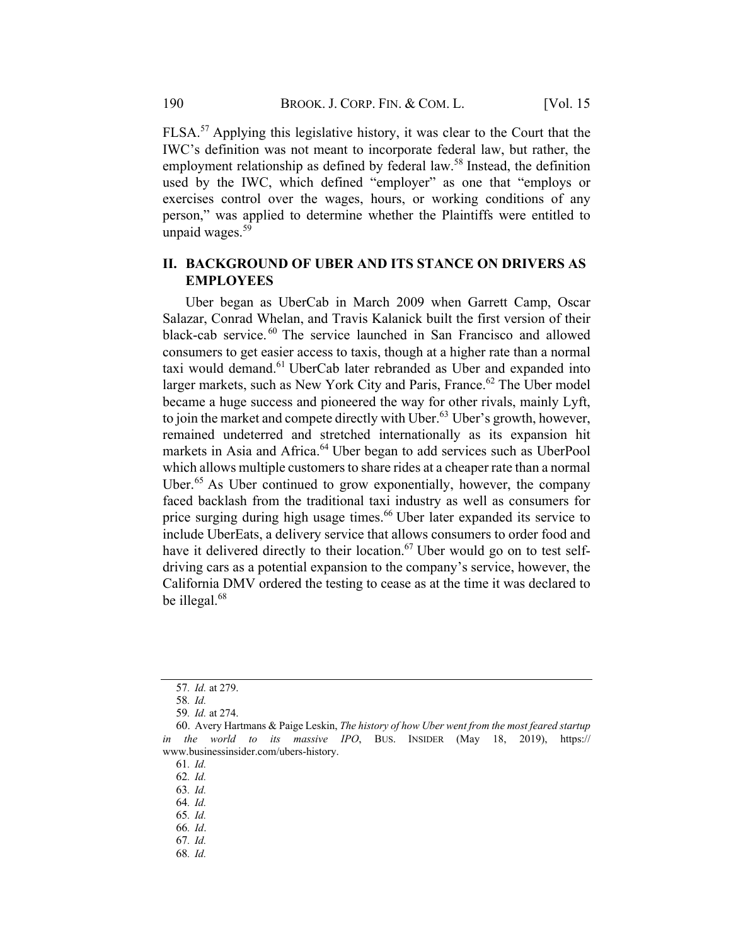FLSA.<sup>57</sup> Applying this legislative history, it was clear to the Court that the IWC's definition was not meant to incorporate federal law, but rather, the employment relationship as defined by federal law.<sup>58</sup> Instead, the definition used by the IWC, which defined "employer" as one that "employs or exercises control over the wages, hours, or working conditions of any person," was applied to determine whether the Plaintiffs were entitled to unpaid wages. 59

## II. BACKGROUND OF UBER AND ITS STANCE ON DRIVERS AS EMPLOYEES

Uber began as UberCab in March 2009 when Garrett Camp, Oscar Salazar, Conrad Whelan, and Travis Kalanick built the first version of their black-cab service. <sup>60</sup> The service launched in San Francisco and allowed consumers to get easier access to taxis, though at a higher rate than a normal taxi would demand.<sup>61</sup> UberCab later rebranded as Uber and expanded into larger markets, such as New York City and Paris, France.<sup>62</sup> The Uber model became a huge success and pioneered the way for other rivals, mainly Lyft, to join the market and compete directly with Uber. $63$  Uber's growth, however, remained undeterred and stretched internationally as its expansion hit markets in Asia and Africa. <sup>64</sup> Uber began to add services such as UberPool which allows multiple customers to share rides at a cheaper rate than a normal Uber. $65$  As Uber continued to grow exponentially, however, the company faced backlash from the traditional taxi industry as well as consumers for price surging during high usage times.<sup>66</sup> Uber later expanded its service to include UberEats, a delivery service that allows consumers to order food and have it delivered directly to their location.<sup>67</sup> Uber would go on to test selfdriving cars as a potential expansion to the company's service, however, the California DMV ordered the testing to cease as at the time it was declared to be illegal.<sup>68</sup>

<sup>57</sup>. Id. at 279.

<sup>58</sup>. Id.

<sup>59</sup>. Id. at 274.

<sup>60.</sup> Avery Hartmans & Paige Leskin, The history of how Uber went from the most feared startup in the world to its massive IPO, BUS. INSIDER (May 18, 2019), https:// www.businessinsider.com/ubers-history.

<sup>61</sup>. Id.

<sup>62</sup>. Id.

<sup>63</sup>. Id.

<sup>64</sup>. Id.

<sup>65</sup>. Id.

<sup>66</sup>. Id.

<sup>67</sup>. Id. 68. Id.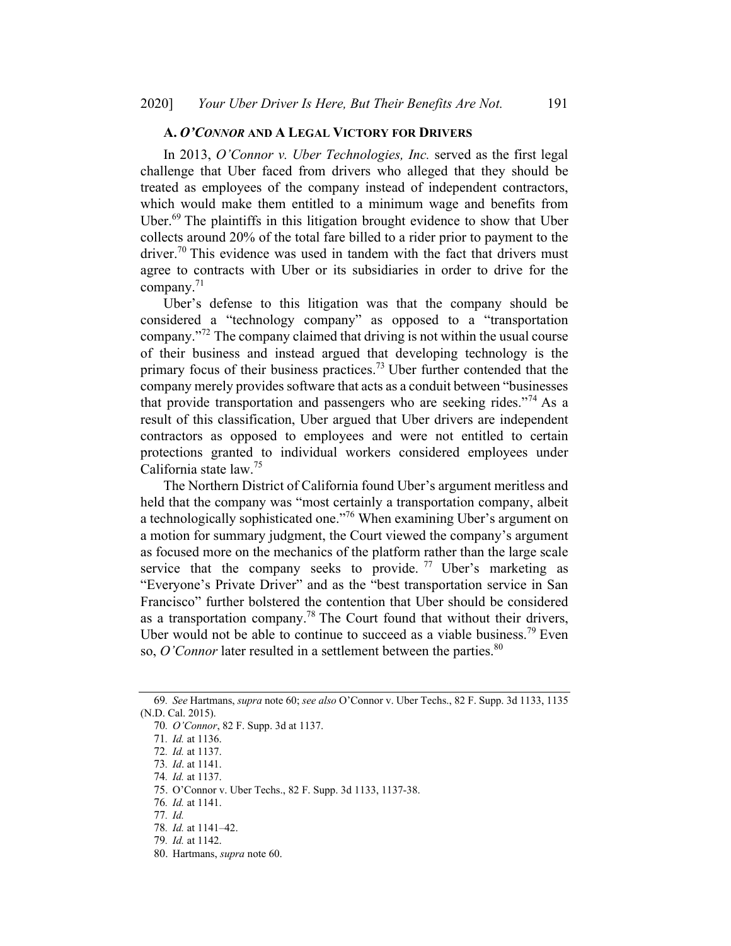#### A. O'CONNOR AND A LEGAL VICTORY FOR DRIVERS

In 2013, O'Connor v. Uber Technologies, Inc. served as the first legal challenge that Uber faced from drivers who alleged that they should be treated as employees of the company instead of independent contractors, which would make them entitled to a minimum wage and benefits from Uber.<sup>69</sup> The plaintiffs in this litigation brought evidence to show that Uber collects around 20% of the total fare billed to a rider prior to payment to the driver.<sup>70</sup> This evidence was used in tandem with the fact that drivers must agree to contracts with Uber or its subsidiaries in order to drive for the company. 71

Uber's defense to this litigation was that the company should be considered a "technology company" as opposed to a "transportation company."72 The company claimed that driving is not within the usual course of their business and instead argued that developing technology is the primary focus of their business practices.<sup>73</sup> Uber further contended that the company merely provides software that acts as a conduit between "businesses" that provide transportation and passengers who are seeking rides."<sup>74</sup> As a result of this classification, Uber argued that Uber drivers are independent contractors as opposed to employees and were not entitled to certain protections granted to individual workers considered employees under California state law.<sup>75</sup>

The Northern District of California found Uber's argument meritless and held that the company was "most certainly a transportation company, albeit a technologically sophisticated one."76 When examining Uber's argument on a motion for summary judgment, the Court viewed the company's argument as focused more on the mechanics of the platform rather than the large scale service that the company seeks to provide.  $77$  Uber's marketing as "Everyone's Private Driver" and as the "best transportation service in San Francisco" further bolstered the contention that Uber should be considered as a transportation company.<sup>78</sup> The Court found that without their drivers, Uber would not be able to continue to succeed as a viable business.<sup>79</sup> Even so, O'Connor later resulted in a settlement between the parties.  $80$ 

<sup>69</sup>. See Hartmans, supra note 60; see also O'Connor v. Uber Techs., 82 F. Supp. 3d 1133, 1135 (N.D. Cal. 2015).

<sup>70</sup>. O'Connor, 82 F. Supp. 3d at 1137.

<sup>71</sup>. Id. at 1136.

<sup>72</sup>. Id. at 1137.

<sup>73</sup>. Id. at 1141.

<sup>74</sup>. Id. at 1137.

<sup>75.</sup> O'Connor v. Uber Techs., 82 F. Supp. 3d 1133, 1137-38.

<sup>76</sup>. Id. at 1141.

<sup>77</sup>. Id.

<sup>78</sup>. Id. at 1141–42.

<sup>79</sup>. Id. at 1142.

<sup>80.</sup> Hartmans, supra note 60.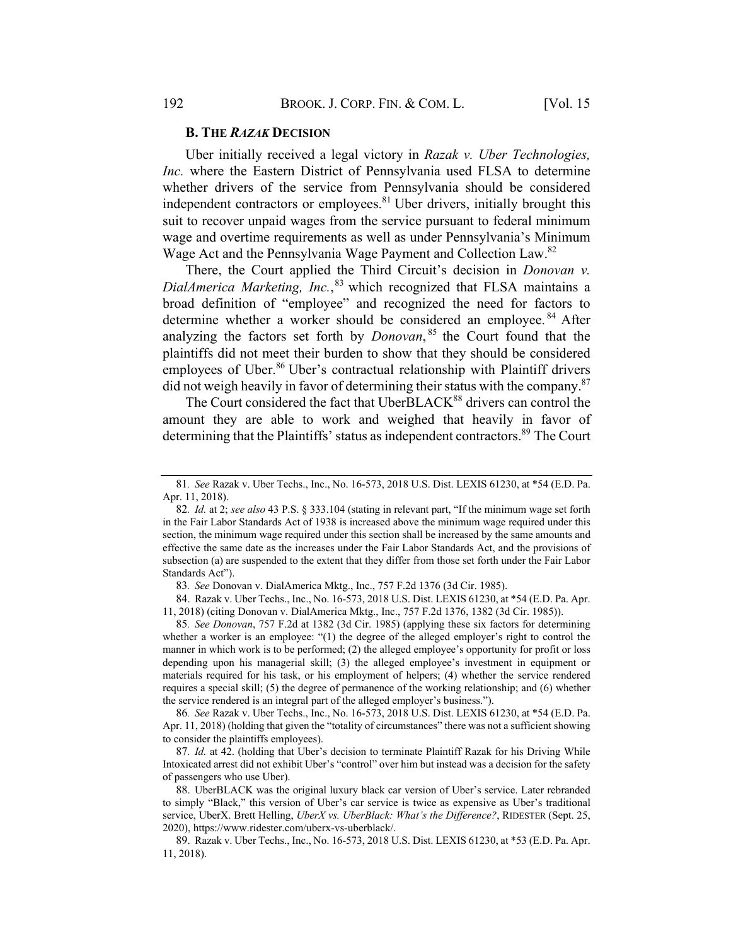#### **B. THE RAZAK DECISION**

Uber initially received a legal victory in Razak v. Uber Technologies, Inc. where the Eastern District of Pennsylvania used FLSA to determine whether drivers of the service from Pennsylvania should be considered independent contractors or employees. $81$  Uber drivers, initially brought this suit to recover unpaid wages from the service pursuant to federal minimum wage and overtime requirements as well as under Pennsylvania's Minimum Wage Act and the Pennsylvania Wage Payment and Collection Law.<sup>82</sup>

There, the Court applied the Third Circuit's decision in *Donovan v*. DialAmerica Marketing, Inc.,<sup>83</sup> which recognized that FLSA maintains a broad definition of "employee" and recognized the need for factors to determine whether a worker should be considered an employee.<sup>84</sup> After analyzing the factors set forth by  $Donovan$ ,  $85$  the Court found that the plaintiffs did not meet their burden to show that they should be considered employees of Uber.<sup>86</sup> Uber's contractual relationship with Plaintiff drivers did not weigh heavily in favor of determining their status with the company.<sup>87</sup>

The Court considered the fact that UberBLACK<sup>88</sup> drivers can control the amount they are able to work and weighed that heavily in favor of determining that the Plaintiffs' status as independent contractors.<sup>89</sup> The Court

83. See Donovan v. DialAmerica Mktg., Inc., 757 F.2d 1376 (3d Cir. 1985).

84. Razak v. Uber Techs., Inc., No. 16-573, 2018 U.S. Dist. LEXIS 61230, at \*54 (E.D. Pa. Apr. 11, 2018) (citing Donovan v. DialAmerica Mktg., Inc., 757 F.2d 1376, 1382 (3d Cir. 1985)).

86. See Razak v. Uber Techs., Inc., No. 16-573, 2018 U.S. Dist. LEXIS 61230, at \*54 (E.D. Pa. Apr. 11, 2018) (holding that given the "totality of circumstances" there was not a sufficient showing to consider the plaintiffs employees).

87. Id. at 42. (holding that Uber's decision to terminate Plaintiff Razak for his Driving While Intoxicated arrest did not exhibit Uber's "control" over him but instead was a decision for the safety of passengers who use Uber).

<sup>81</sup>. See Razak v. Uber Techs., Inc., No. 16-573, 2018 U.S. Dist. LEXIS 61230, at \*54 (E.D. Pa. Apr. 11, 2018).

<sup>82</sup>. Id. at 2; see also 43 P.S. § 333.104 (stating in relevant part, "If the minimum wage set forth in the Fair Labor Standards Act of 1938 is increased above the minimum wage required under this section, the minimum wage required under this section shall be increased by the same amounts and effective the same date as the increases under the Fair Labor Standards Act, and the provisions of subsection (a) are suspended to the extent that they differ from those set forth under the Fair Labor Standards Act").

<sup>85</sup>. See Donovan, 757 F.2d at 1382 (3d Cir. 1985) (applying these six factors for determining whether a worker is an employee: "(1) the degree of the alleged employer's right to control the manner in which work is to be performed; (2) the alleged employee's opportunity for profit or loss depending upon his managerial skill; (3) the alleged employee's investment in equipment or materials required for his task, or his employment of helpers; (4) whether the service rendered requires a special skill; (5) the degree of permanence of the working relationship; and (6) whether the service rendered is an integral part of the alleged employer's business.").

<sup>88.</sup> UberBLACK was the original luxury black car version of Uber's service. Later rebranded to simply "Black," this version of Uber's car service is twice as expensive as Uber's traditional service, UberX. Brett Helling, UberX vs. UberBlack: What's the Difference?, RIDESTER (Sept. 25, 2020), https://www.ridester.com/uberx-vs-uberblack/.

<sup>89.</sup> Razak v. Uber Techs., Inc., No. 16-573, 2018 U.S. Dist. LEXIS 61230, at \*53 (E.D. Pa. Apr. 11, 2018).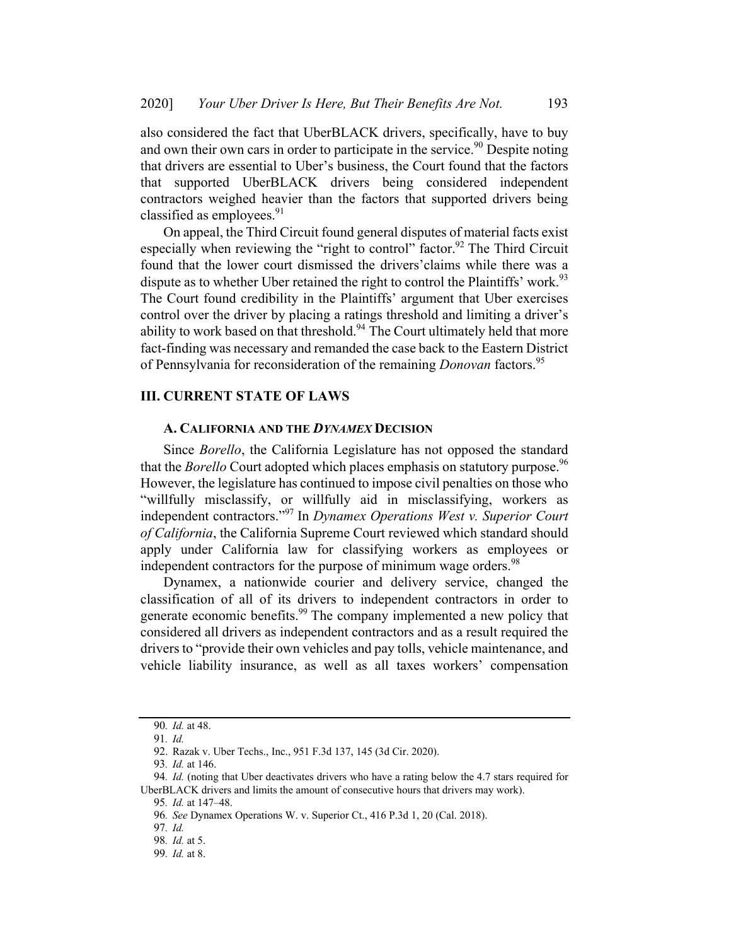also considered the fact that UberBLACK drivers, specifically, have to buy and own their own cars in order to participate in the service.<sup>90</sup> Despite noting that drivers are essential to Uber's business, the Court found that the factors that supported UberBLACK drivers being considered independent contractors weighed heavier than the factors that supported drivers being classified as employees.<sup>91</sup>

On appeal, the Third Circuit found general disputes of material facts exist especially when reviewing the "right to control" factor.<sup>92</sup> The Third Circuit found that the lower court dismissed the drivers'claims while there was a dispute as to whether Uber retained the right to control the Plaintiffs' work.<sup>93</sup> The Court found credibility in the Plaintiffs' argument that Uber exercises control over the driver by placing a ratings threshold and limiting a driver's ability to work based on that threshold.<sup>94</sup> The Court ultimately held that more fact-finding was necessary and remanded the case back to the Eastern District of Pennsylvania for reconsideration of the remaining *Donovan* factors.<sup>95</sup>

## **III. CURRENT STATE OF LAWS**

### A. CALIFORNIA AND THE DYNAMEX DECISION

Since Borello, the California Legislature has not opposed the standard that the *Borello* Court adopted which places emphasis on statutory purpose.<sup>96</sup> However, the legislature has continued to impose civil penalties on those who "willfully misclassify, or willfully aid in misclassifying, workers as independent contractors."<sup>97</sup> In Dynamex Operations West v. Superior Court of California, the California Supreme Court reviewed which standard should apply under California law for classifying workers as employees or independent contractors for the purpose of minimum wage orders.<sup>98</sup>

Dynamex, a nationwide courier and delivery service, changed the classification of all of its drivers to independent contractors in order to generate economic benefits.<sup>99</sup> The company implemented a new policy that considered all drivers as independent contractors and as a result required the drivers to "provide their own vehicles and pay tolls, vehicle maintenance, and vehicle liability insurance, as well as all taxes workers' compensation

<sup>90</sup>. Id. at 48.

<sup>91</sup>. Id.

<sup>92.</sup> Razak v. Uber Techs., Inc., 951 F.3d 137, 145 (3d Cir. 2020).

<sup>93</sup>. Id. at 146.

<sup>94.</sup> *Id.* (noting that Uber deactivates drivers who have a rating below the 4.7 stars required for UberBLACK drivers and limits the amount of consecutive hours that drivers may work).

<sup>95</sup>. Id. at 147–48.

<sup>96</sup>. See Dynamex Operations W. v. Superior Ct., 416 P.3d 1, 20 (Cal. 2018).

<sup>97</sup>. Id.

<sup>98</sup>. Id. at 5.

<sup>99</sup>. Id. at 8.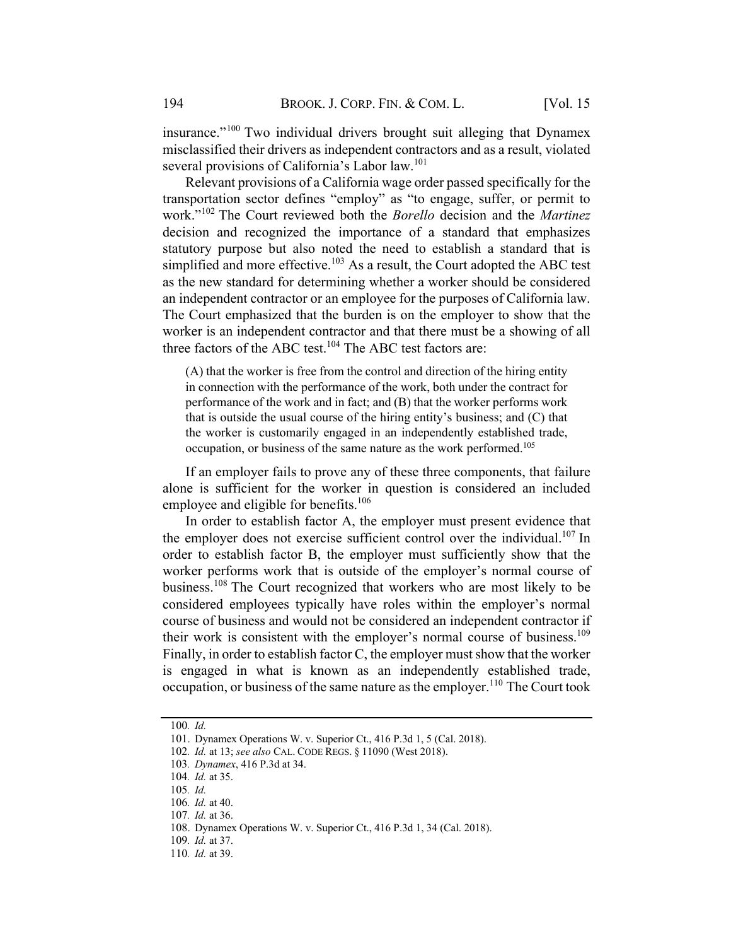insurance."<sup>100</sup> Two individual drivers brought suit alleging that Dynamex misclassified their drivers as independent contractors and as a result, violated several provisions of California's Labor law.<sup>101</sup>

Relevant provisions of a California wage order passed specifically for the transportation sector defines "employ" as "to engage, suffer, or permit to work."<sup>102</sup> The Court reviewed both the *Borello* decision and the *Martinez* decision and recognized the importance of a standard that emphasizes statutory purpose but also noted the need to establish a standard that is simplified and more effective.<sup>103</sup> As a result, the Court adopted the ABC test as the new standard for determining whether a worker should be considered an independent contractor or an employee for the purposes of California law. The Court emphasized that the burden is on the employer to show that the worker is an independent contractor and that there must be a showing of all three factors of the ABC test.<sup>104</sup> The ABC test factors are:

(A) that the worker is free from the control and direction of the hiring entity in connection with the performance of the work, both under the contract for performance of the work and in fact; and (B) that the worker performs work that is outside the usual course of the hiring entity's business; and (C) that the worker is customarily engaged in an independently established trade, occupation, or business of the same nature as the work performed.<sup>105</sup>

If an employer fails to prove any of these three components, that failure alone is sufficient for the worker in question is considered an included employee and eligible for benefits.<sup>106</sup>

In order to establish factor A, the employer must present evidence that the employer does not exercise sufficient control over the individual.<sup>107</sup> In order to establish factor B, the employer must sufficiently show that the worker performs work that is outside of the employer's normal course of business.<sup>108</sup> The Court recognized that workers who are most likely to be considered employees typically have roles within the employer's normal course of business and would not be considered an independent contractor if their work is consistent with the employer's normal course of business.<sup>109</sup> Finally, in order to establish factor  $C$ , the employer must show that the worker is engaged in what is known as an independently established trade, occupation, or business of the same nature as the employer.<sup>110</sup> The Court took

- 105. Id.
- 106. Id. at 40.

109. Id. at 37.

<sup>100</sup>. Id.

<sup>101.</sup> Dynamex Operations W. v. Superior Ct., 416 P.3d 1, 5 (Cal. 2018).

<sup>102</sup>. Id. at 13; see also CAL. CODE REGS. § 11090 (West 2018).

<sup>103</sup>. Dynamex, 416 P.3d at 34.

<sup>104</sup>. Id. at 35.

<sup>107</sup>. Id. at 36.

<sup>108.</sup> Dynamex Operations W. v. Superior Ct., 416 P.3d 1, 34 (Cal. 2018).

<sup>110</sup>. Id. at 39.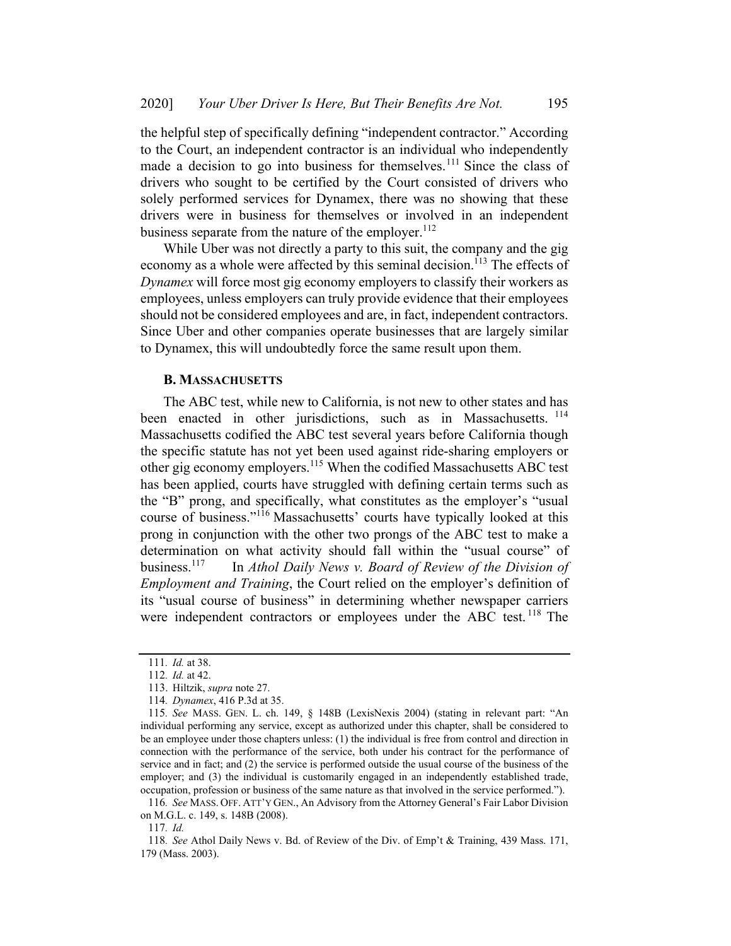the helpful step of specifically defining "independent contractor." According to the Court, an independent contractor is an individual who independently made a decision to go into business for themselves.<sup>111</sup> Since the class of drivers who sought to be certified by the Court consisted of drivers who solely performed services for Dynamex, there was no showing that these drivers were in business for themselves or involved in an independent business separate from the nature of the employer.  $^{112}$ 

While Uber was not directly a party to this suit, the company and the gig economy as a whole were affected by this seminal decision.<sup>113</sup> The effects of Dynamex will force most gig economy employers to classify their workers as employees, unless employers can truly provide evidence that their employees should not be considered employees and are, in fact, independent contractors. Since Uber and other companies operate businesses that are largely similar to Dynamex, this will undoubtedly force the same result upon them.

### **B. MASSACHUSETTS**

The ABC test, while new to California, is not new to other states and has been enacted in other jurisdictions, such as in Massachusetts. <sup>114</sup> Massachusetts codified the ABC test several years before California though the specific statute has not yet been used against ride-sharing employers or other gig economy employers.<sup>115</sup> When the codified Massachusetts ABC test has been applied, courts have struggled with defining certain terms such as the "B" prong, and specifically, what constitutes as the employer's "usual course of business."<sup>116</sup> Massachusetts' courts have typically looked at this prong in conjunction with the other two prongs of the ABC test to make a determination on what activity should fall within the "usual course" of business.<sup>117</sup> In Athol Daily News v. Board of Review of the Division of Employment and Training, the Court relied on the employer's definition of its "usual course of business" in determining whether newspaper carriers were independent contractors or employees under the ABC test.<sup>118</sup> The

<sup>111</sup>. Id. at 38.

<sup>112</sup>. Id. at 42.

<sup>113.</sup> Hiltzik, supra note 27.

<sup>114</sup>. Dynamex, 416 P.3d at 35.

<sup>115</sup>. See MASS. GEN. L. ch. 149, § 148B (LexisNexis 2004) (stating in relevant part: "An individual performing any service, except as authorized under this chapter, shall be considered to be an employee under those chapters unless: (1) the individual is free from control and direction in connection with the performance of the service, both under his contract for the performance of service and in fact; and (2) the service is performed outside the usual course of the business of the employer; and (3) the individual is customarily engaged in an independently established trade, occupation, profession or business of the same nature as that involved in the service performed.").

<sup>116</sup>. See MASS. OFF. ATT'Y GEN., An Advisory from the Attorney General's Fair Labor Division on M.G.L. c. 149, s. 148B (2008).

<sup>117</sup>. Id.

<sup>118</sup>. See Athol Daily News v. Bd. of Review of the Div. of Emp't & Training, 439 Mass. 171, 179 (Mass. 2003).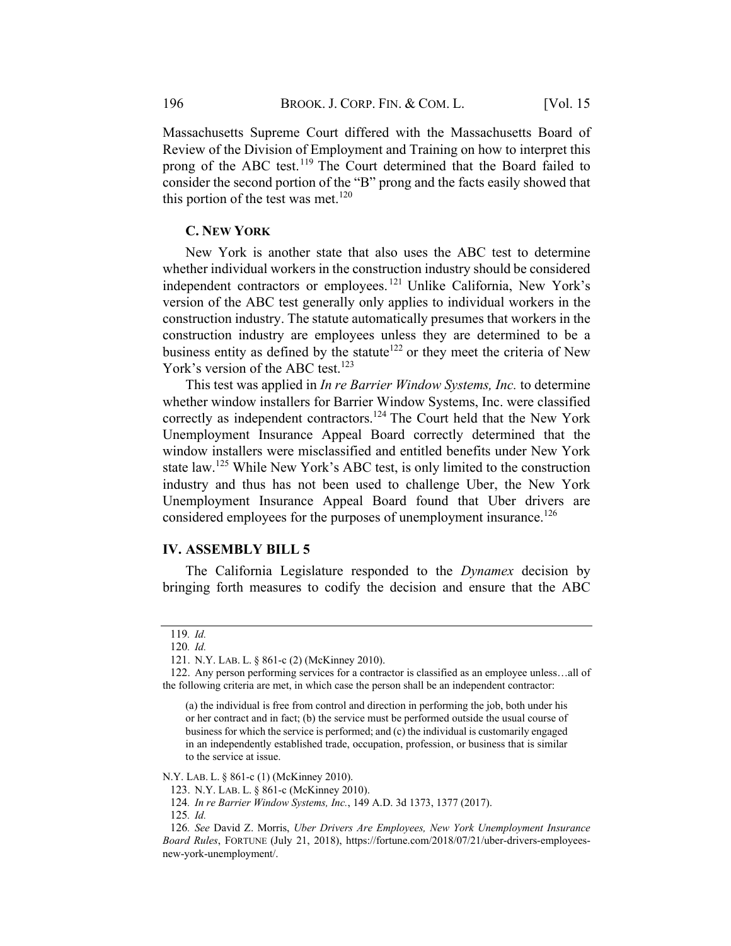Massachusetts Supreme Court differed with the Massachusetts Board of Review of the Division of Employment and Training on how to interpret this prong of the ABC test.<sup>119</sup> The Court determined that the Board failed to consider the second portion of the "B" prong and the facts easily showed that this portion of the test was met.<sup>120</sup>

## **C. NEW YORK**

New York is another state that also uses the ABC test to determine whether individual workers in the construction industry should be considered independent contractors or employees.<sup>121</sup> Unlike California, New York's version of the ABC test generally only applies to individual workers in the construction industry. The statute automatically presumes that workers in the construction industry are employees unless they are determined to be a business entity as defined by the statute<sup>122</sup> or they meet the criteria of New York's version of the ABC test.<sup>123</sup>

This test was applied in In re Barrier Window Systems, Inc. to determine whether window installers for Barrier Window Systems, Inc. were classified correctly as independent contractors.<sup>124</sup> The Court held that the New York Unemployment Insurance Appeal Board correctly determined that the window installers were misclassified and entitled benefits under New York state law.<sup>125</sup> While New York's ABC test, is only limited to the construction industry and thus has not been used to challenge Uber, the New York Unemployment Insurance Appeal Board found that Uber drivers are considered employees for the purposes of unemployment insurance.<sup>126</sup>

#### **IV. ASSEMBLY BILL 5**

The California Legislature responded to the *Dynamex* decision by bringing forth measures to codify the decision and ensure that the ABC

N.Y. LAB. L. § 861-c (1) (McKinney 2010).

124. In re Barrier Window Systems, Inc., 149 A.D. 3d 1373, 1377 (2017).

125. Id.

<sup>119</sup>. Id.

<sup>120</sup>. Id.

<sup>121.</sup> N.Y. LAB. L. § 861-c (2) (McKinney 2010).

<sup>122.</sup> Any person performing services for a contractor is classified as an employee unless…all of the following criteria are met, in which case the person shall be an independent contractor:

<sup>(</sup>a) the individual is free from control and direction in performing the job, both under his or her contract and in fact; (b) the service must be performed outside the usual course of business for which the service is performed; and (c) the individual is customarily engaged in an independently established trade, occupation, profession, or business that is similar to the service at issue.

<sup>123.</sup> N.Y. LAB. L. § 861-c (McKinney 2010).

<sup>126</sup>. See David Z. Morris, Uber Drivers Are Employees, New York Unemployment Insurance Board Rules, FORTUNE (July 21, 2018), https://fortune.com/2018/07/21/uber-drivers-employeesnew-york-unemployment/.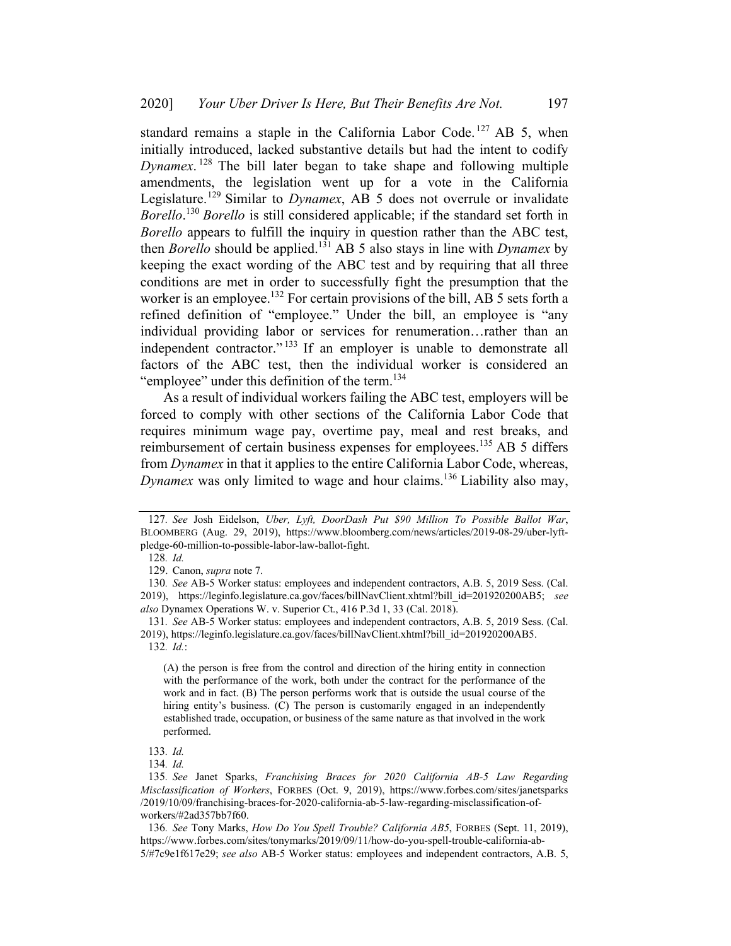standard remains a staple in the California Labor Code.<sup>127</sup> AB 5, when initially introduced, lacked substantive details but had the intent to codify Dynamex.<sup>128</sup> The bill later began to take shape and following multiple amendments, the legislation went up for a vote in the California Legislature.<sup>129</sup> Similar to *Dynamex*, AB 5 does not overrule or invalidate Borello.<sup>130</sup> Borello is still considered applicable; if the standard set forth in Borello appears to fulfill the inquiry in question rather than the ABC test, then *Borello* should be applied.<sup>131</sup> AB 5 also stays in line with *Dynamex* by keeping the exact wording of the ABC test and by requiring that all three conditions are met in order to successfully fight the presumption that the worker is an employee.<sup>132</sup> For certain provisions of the bill, AB 5 sets forth a refined definition of "employee." Under the bill, an employee is "any individual providing labor or services for renumeration…rather than an independent contractor." <sup>133</sup> If an employer is unable to demonstrate all factors of the ABC test, then the individual worker is considered an "employee" under this definition of the term.<sup>134</sup>

As a result of individual workers failing the ABC test, employers will be forced to comply with other sections of the California Labor Code that requires minimum wage pay, overtime pay, meal and rest breaks, and reimbursement of certain business expenses for employees.<sup>135</sup> AB 5 differs from Dynamex in that it applies to the entire California Labor Code, whereas, Dynamex was only limited to wage and hour claims.<sup>136</sup> Liability also may,

(A) the person is free from the control and direction of the hiring entity in connection with the performance of the work, both under the contract for the performance of the work and in fact. (B) The person performs work that is outside the usual course of the hiring entity's business. (C) The person is customarily engaged in an independently established trade, occupation, or business of the same nature as that involved in the work performed.

<sup>127</sup>. See Josh Eidelson, Uber, Lyft, DoorDash Put \$90 Million To Possible Ballot War, BLOOMBERG (Aug. 29, 2019), https://www.bloomberg.com/news/articles/2019-08-29/uber-lyftpledge-60-million-to-possible-labor-law-ballot-fight.

<sup>128</sup>. Id.

<sup>129.</sup> Canon, supra note 7.

<sup>130</sup>. See AB-5 Worker status: employees and independent contractors, A.B. 5, 2019 Sess. (Cal. 2019), https://leginfo.legislature.ca.gov/faces/billNavClient.xhtml?bill\_id=201920200AB5; see also Dynamex Operations W. v. Superior Ct., 416 P.3d 1, 33 (Cal. 2018).

<sup>131</sup>. See AB-5 Worker status: employees and independent contractors, A.B. 5, 2019 Sess. (Cal. 2019), https://leginfo.legislature.ca.gov/faces/billNavClient.xhtml?bill\_id=201920200AB5.

 $132.$  *Id.*:

<sup>133</sup>. Id.

<sup>134</sup>. Id.

<sup>135</sup>. See Janet Sparks, Franchising Braces for 2020 California AB-5 Law Regarding Misclassification of Workers, FORBES (Oct. 9, 2019), https://www.forbes.com/sites/janetsparks /2019/10/09/franchising-braces-for-2020-california-ab-5-law-regarding-misclassification-ofworkers/#2ad357bb7f60.

<sup>136.</sup> See Tony Marks, How Do You Spell Trouble? California AB5, FORBES (Sept. 11, 2019), https://www.forbes.com/sites/tonymarks/2019/09/11/how-do-you-spell-trouble-california-ab-5/#7c9e1f617e29; see also AB-5 Worker status: employees and independent contractors, A.B. 5,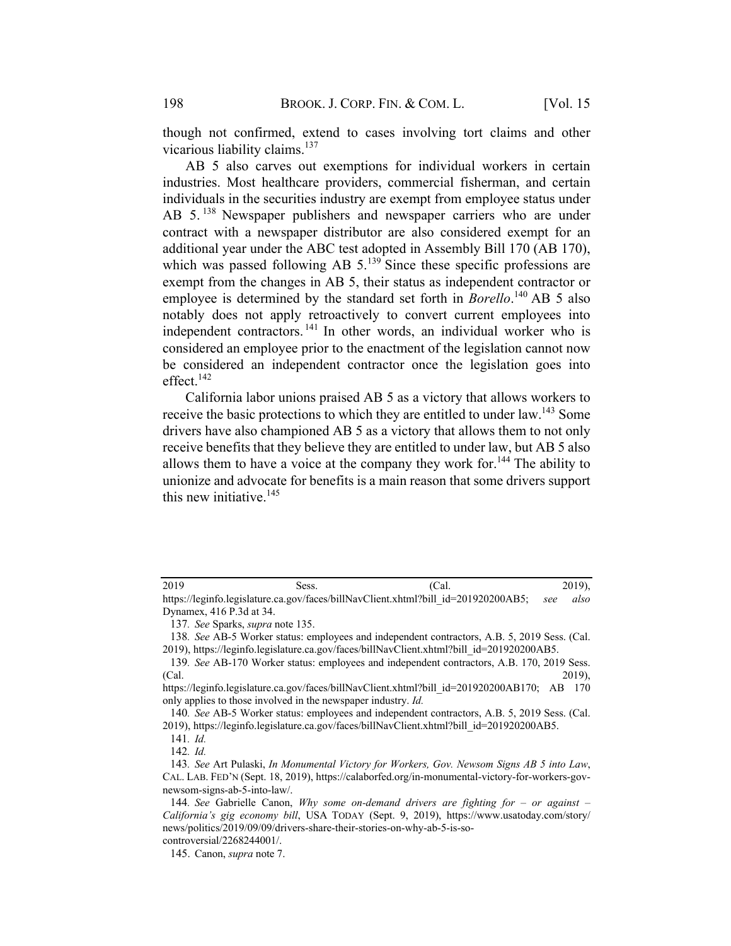though not confirmed, extend to cases involving tort claims and other vicarious liability claims.<sup>137</sup>

AB 5 also carves out exemptions for individual workers in certain industries. Most healthcare providers, commercial fisherman, and certain individuals in the securities industry are exempt from employee status under AB 5.<sup>138</sup> Newspaper publishers and newspaper carriers who are under contract with a newspaper distributor are also considered exempt for an additional year under the ABC test adopted in Assembly Bill 170 (AB 170), which was passed following AB  $5.^{139}$  Since these specific professions are exempt from the changes in AB 5, their status as independent contractor or employee is determined by the standard set forth in *Borello*.<sup>140</sup> AB 5 also notably does not apply retroactively to convert current employees into independent contractors.<sup>141</sup> In other words, an individual worker who is considered an employee prior to the enactment of the legislation cannot now be considered an independent contractor once the legislation goes into effect. $142$ 

California labor unions praised AB 5 as a victory that allows workers to receive the basic protections to which they are entitled to under law.<sup>143</sup> Some drivers have also championed AB 5 as a victory that allows them to not only receive benefits that they believe they are entitled to under law, but AB 5 also allows them to have a voice at the company they work for.<sup>144</sup> The ability to unionize and advocate for benefits is a main reason that some drivers support this new initiative. $145$ 

| 2019                                                                                        | Sess. | (Cal. | $2019$ , |
|---------------------------------------------------------------------------------------------|-------|-------|----------|
| https://leginfo.legislature.ca.gov/faces/billNavClient.xhtml?bill id=201920200AB5; see also |       |       |          |

Dynamex, 416 P.3d at 34.

<sup>137</sup>. See Sparks, supra note 135.

<sup>138</sup>. See AB-5 Worker status: employees and independent contractors, A.B. 5, 2019 Sess. (Cal. 2019), https://leginfo.legislature.ca.gov/faces/billNavClient.xhtml?bill\_id=201920200AB5.

<sup>139</sup>. See AB-170 Worker status: employees and independent contractors, A.B. 170, 2019 Sess. (Cal. 2019),

https://leginfo.legislature.ca.gov/faces/billNavClient.xhtml?bill\_id=201920200AB170; AB 170 only applies to those involved in the newspaper industry. Id.

<sup>140</sup>. See AB-5 Worker status: employees and independent contractors, A.B. 5, 2019 Sess. (Cal. 2019), https://leginfo.legislature.ca.gov/faces/billNavClient.xhtml?bill\_id=201920200AB5.

<sup>141</sup>. Id.

<sup>142</sup>. Id.

<sup>143</sup>. See Art Pulaski, In Monumental Victory for Workers, Gov. Newsom Signs AB 5 into Law, CAL. LAB. FED'N (Sept. 18, 2019), https://calaborfed.org/in-monumental-victory-for-workers-govnewsom-signs-ab-5-into-law/.

<sup>144.</sup> See Gabrielle Canon, Why some on-demand drivers are fighting for  $-$  or against  $-$ California's gig economy bill, USA TODAY (Sept. 9, 2019), https://www.usatoday.com/story/ news/politics/2019/09/09/drivers-share-their-stories-on-why-ab-5-is-so-

controversial/2268244001/.

<sup>145.</sup> Canon, supra note 7.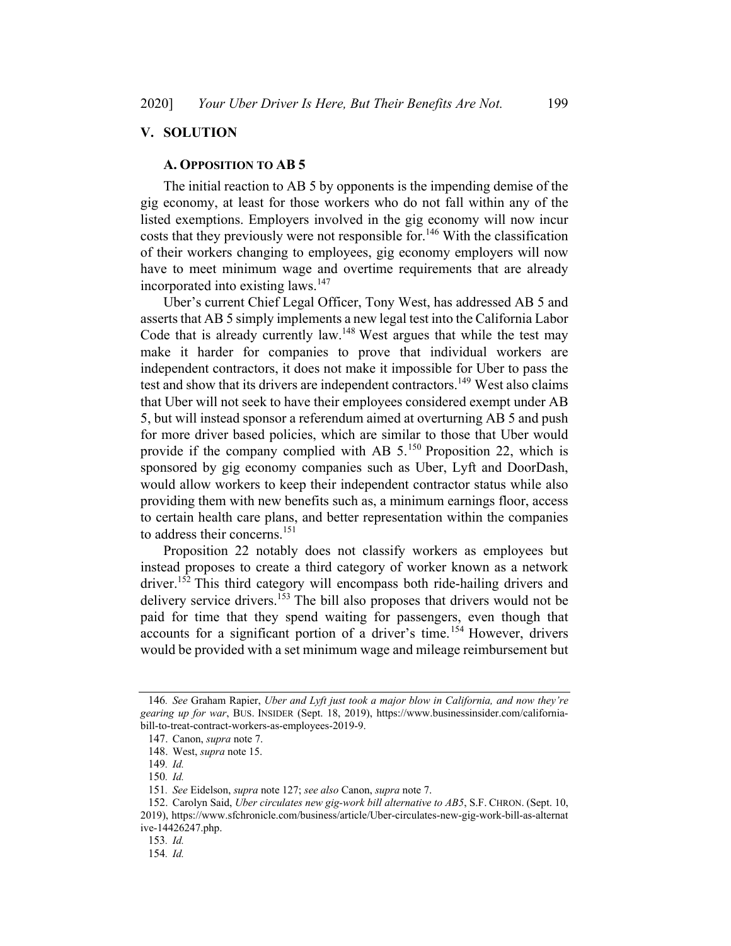## V. SOLUTION

#### A. OPPOSITION TO AB 5

The initial reaction to AB 5 by opponents is the impending demise of the gig economy, at least for those workers who do not fall within any of the listed exemptions. Employers involved in the gig economy will now incur costs that they previously were not responsible for.<sup>146</sup> With the classification of their workers changing to employees, gig economy employers will now have to meet minimum wage and overtime requirements that are already incorporated into existing laws.<sup>147</sup>

Uber's current Chief Legal Officer, Tony West, has addressed AB 5 and asserts that AB 5 simply implements a new legal test into the California Labor Code that is already currently law.<sup>148</sup> West argues that while the test may make it harder for companies to prove that individual workers are independent contractors, it does not make it impossible for Uber to pass the test and show that its drivers are independent contractors.<sup>149</sup> West also claims that Uber will not seek to have their employees considered exempt under AB 5, but will instead sponsor a referendum aimed at overturning AB 5 and push for more driver based policies, which are similar to those that Uber would provide if the company complied with AB  $5.^{150}$  Proposition 22, which is sponsored by gig economy companies such as Uber, Lyft and DoorDash, would allow workers to keep their independent contractor status while also providing them with new benefits such as, a minimum earnings floor, access to certain health care plans, and better representation within the companies to address their concerns.<sup>151</sup>

Proposition 22 notably does not classify workers as employees but instead proposes to create a third category of worker known as a network driver.<sup>152</sup> This third category will encompass both ride-hailing drivers and delivery service drivers. <sup>153</sup> The bill also proposes that drivers would not be paid for time that they spend waiting for passengers, even though that accounts for a significant portion of a driver's time.<sup>154</sup> However, drivers would be provided with a set minimum wage and mileage reimbursement but

<sup>146</sup>. See Graham Rapier, Uber and Lyft just took a major blow in California, and now they're gearing up for war, BUS. INSIDER (Sept. 18, 2019), https://www.businessinsider.com/californiabill-to-treat-contract-workers-as-employees-2019-9.

<sup>147.</sup> Canon, supra note 7.

<sup>148.</sup> West, supra note 15.

<sup>149</sup>. Id.

<sup>150</sup>. Id.

<sup>151</sup>. See Eidelson, supra note 127; see also Canon, supra note 7.

<sup>152.</sup> Carolyn Said, Uber circulates new gig-work bill alternative to AB5, S.F. CHRON. (Sept. 10, 2019), https://www.sfchronicle.com/business/article/Uber-circulates-new-gig-work-bill-as-alternat ive-14426247.php.

<sup>153</sup>. Id.

<sup>154</sup>. Id.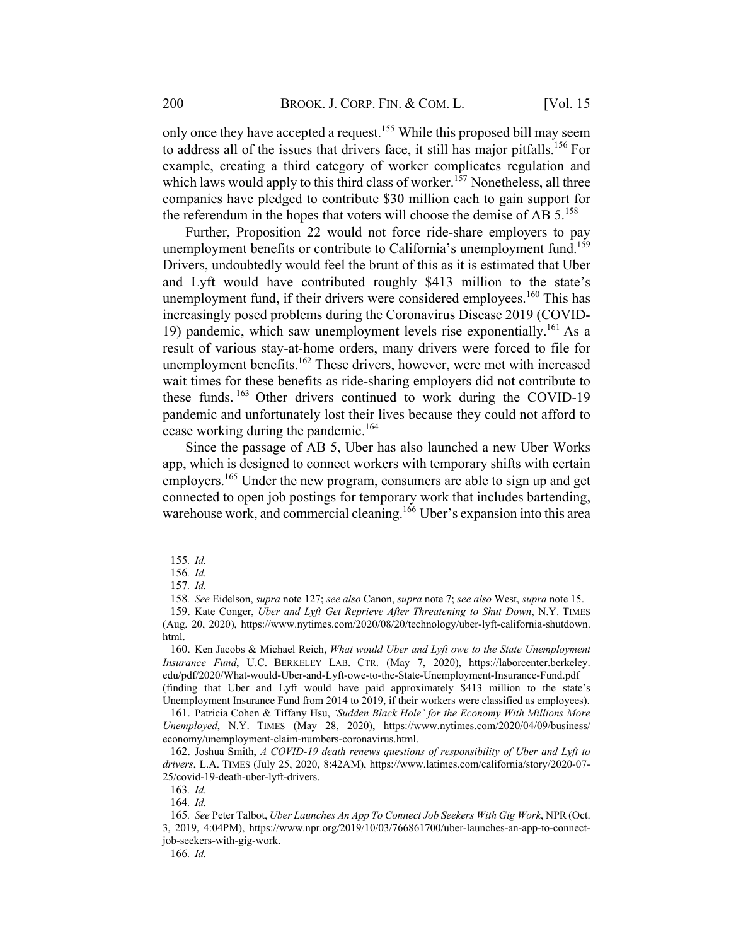only once they have accepted a request.<sup>155</sup> While this proposed bill may seem to address all of the issues that drivers face, it still has major pitfalls.<sup>156</sup> For example, creating a third category of worker complicates regulation and which laws would apply to this third class of worker.<sup>157</sup> Nonetheless, all three companies have pledged to contribute \$30 million each to gain support for the referendum in the hopes that voters will choose the demise of AB  $5.^{158}$ 

Further, Proposition 22 would not force ride-share employers to pay unemployment benefits or contribute to California's unemployment fund.<sup>159</sup> Drivers, undoubtedly would feel the brunt of this as it is estimated that Uber and Lyft would have contributed roughly \$413 million to the state's unemployment fund, if their drivers were considered employees.<sup>160</sup> This has increasingly posed problems during the Coronavirus Disease 2019 (COVID-19) pandemic, which saw unemployment levels rise exponentially.<sup>161</sup> As a result of various stay-at-home orders, many drivers were forced to file for unemployment benefits.<sup>162</sup> These drivers, however, were met with increased wait times for these benefits as ride-sharing employers did not contribute to these funds. <sup>163</sup> Other drivers continued to work during the COVID-19 pandemic and unfortunately lost their lives because they could not afford to cease working during the pandemic.<sup>164</sup>

Since the passage of AB 5, Uber has also launched a new Uber Works app, which is designed to connect workers with temporary shifts with certain employers.<sup>165</sup> Under the new program, consumers are able to sign up and get connected to open job postings for temporary work that includes bartending, warehouse work, and commercial cleaning.<sup>166</sup> Uber's expansion into this area

<sup>155</sup>. Id.

<sup>156</sup>. Id.

<sup>157</sup>. Id.

<sup>158</sup>. See Eidelson, supra note 127; see also Canon, supra note 7; see also West, supra note 15.

<sup>159.</sup> Kate Conger, Uber and Lyft Get Reprieve After Threatening to Shut Down, N.Y. TIMES (Aug. 20, 2020), https://www.nytimes.com/2020/08/20/technology/uber-lyft-california-shutdown. html.

<sup>160.</sup> Ken Jacobs & Michael Reich, What would Uber and Lyft owe to the State Unemployment Insurance Fund, U.C. BERKELEY LAB. CTR. (May 7, 2020), https://laborcenter.berkeley. edu/pdf/2020/What-would-Uber-and-Lyft-owe-to-the-State-Unemployment-Insurance-Fund.pdf (finding that Uber and Lyft would have paid approximately \$413 million to the state's

Unemployment Insurance Fund from 2014 to 2019, if their workers were classified as employees). 161. Patricia Cohen & Tiffany Hsu, 'Sudden Black Hole' for the Economy With Millions More Unemployed, N.Y. TIMES (May 28, 2020), https://www.nytimes.com/2020/04/09/business/ economy/unemployment-claim-numbers-coronavirus.html.

<sup>162.</sup> Joshua Smith, A COVID-19 death renews questions of responsibility of Uber and Lyft to drivers, L.A. TIMES (July 25, 2020, 8:42AM), https://www.latimes.com/california/story/2020-07- 25/covid-19-death-uber-lyft-drivers.

<sup>163</sup>. Id.

<sup>164</sup>. Id.

<sup>165</sup>. See Peter Talbot, Uber Launches An App To Connect Job Seekers With Gig Work, NPR(Oct. 3, 2019, 4:04PM), https://www.npr.org/2019/10/03/766861700/uber-launches-an-app-to-connectjob-seekers-with-gig-work.

<sup>166</sup>. Id.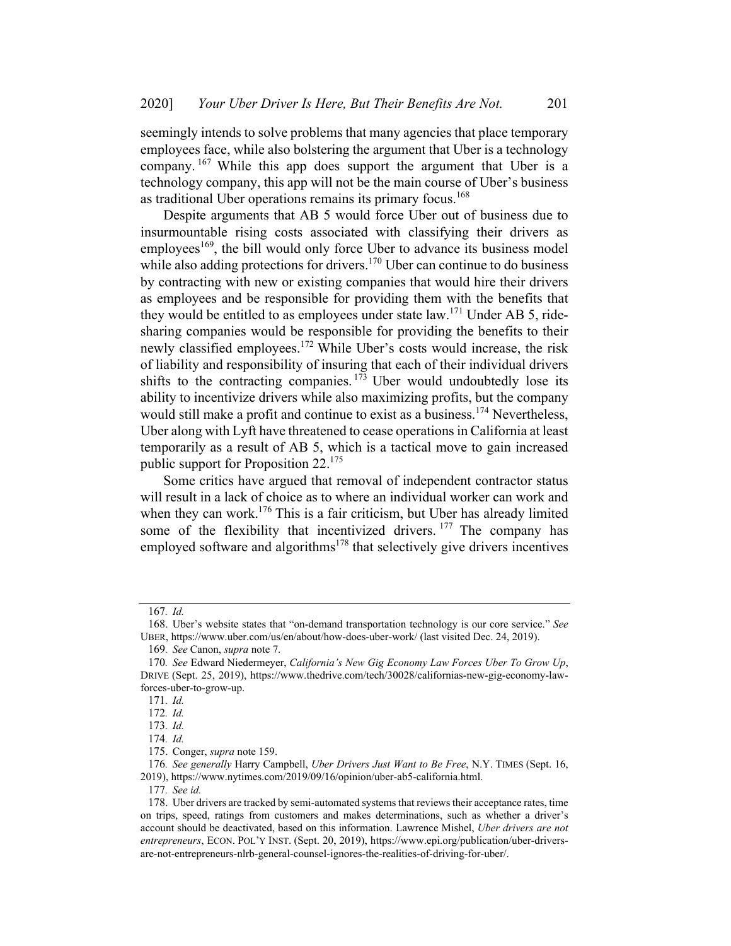seemingly intends to solve problems that many agencies that place temporary employees face, while also bolstering the argument that Uber is a technology company. <sup>167</sup> While this app does support the argument that Uber is a technology company, this app will not be the main course of Uber's business as traditional Uber operations remains its primary focus.<sup>168</sup>

Despite arguments that AB 5 would force Uber out of business due to insurmountable rising costs associated with classifying their drivers as employees<sup>169</sup>, the bill would only force Uber to advance its business model while also adding protections for drivers.<sup>170</sup> Uber can continue to do business by contracting with new or existing companies that would hire their drivers as employees and be responsible for providing them with the benefits that they would be entitled to as employees under state law.<sup>171</sup> Under AB 5, ridesharing companies would be responsible for providing the benefits to their newly classified employees.<sup>172</sup> While Uber's costs would increase, the risk of liability and responsibility of insuring that each of their individual drivers shifts to the contracting companies.  $173$  Uber would undoubtedly lose its ability to incentivize drivers while also maximizing profits, but the company would still make a profit and continue to exist as a business.<sup>174</sup> Nevertheless, Uber along with Lyft have threatened to cease operations in California at least temporarily as a result of AB 5, which is a tactical move to gain increased public support for Proposition 22.<sup>175</sup>

Some critics have argued that removal of independent contractor status will result in a lack of choice as to where an individual worker can work and when they can work.<sup>176</sup> This is a fair criticism, but Uber has already limited some of the flexibility that incentivized drivers. <sup>177</sup> The company has employed software and algorithms<sup>178</sup> that selectively give drivers incentives

<sup>167</sup>. Id.

<sup>168.</sup> Uber's website states that "on-demand transportation technology is our core service." See UBER, https://www.uber.com/us/en/about/how-does-uber-work/ (last visited Dec. 24, 2019).

<sup>169</sup>. See Canon, supra note 7.

<sup>170</sup>. See Edward Niedermeyer, California's New Gig Economy Law Forces Uber To Grow Up, DRIVE (Sept. 25, 2019), https://www.thedrive.com/tech/30028/californias-new-gig-economy-lawforces-uber-to-grow-up.

<sup>171</sup>. Id.

<sup>172</sup>. Id.

<sup>173</sup>. Id.

<sup>174</sup>. Id.

<sup>175.</sup> Conger, supra note 159.

<sup>176.</sup> See generally Harry Campbell, Uber Drivers Just Want to Be Free, N.Y. TIMES (Sept. 16, 2019), https://www.nytimes.com/2019/09/16/opinion/uber-ab5-california.html.

<sup>177</sup>. See id.

<sup>178.</sup> Uber drivers are tracked by semi-automated systemsthat reviews their acceptance rates, time on trips, speed, ratings from customers and makes determinations, such as whether a driver's account should be deactivated, based on this information. Lawrence Mishel, Uber drivers are not entrepreneurs, ECON. POL'Y INST. (Sept. 20, 2019), https://www.epi.org/publication/uber-driversare-not-entrepreneurs-nlrb-general-counsel-ignores-the-realities-of-driving-for-uber/.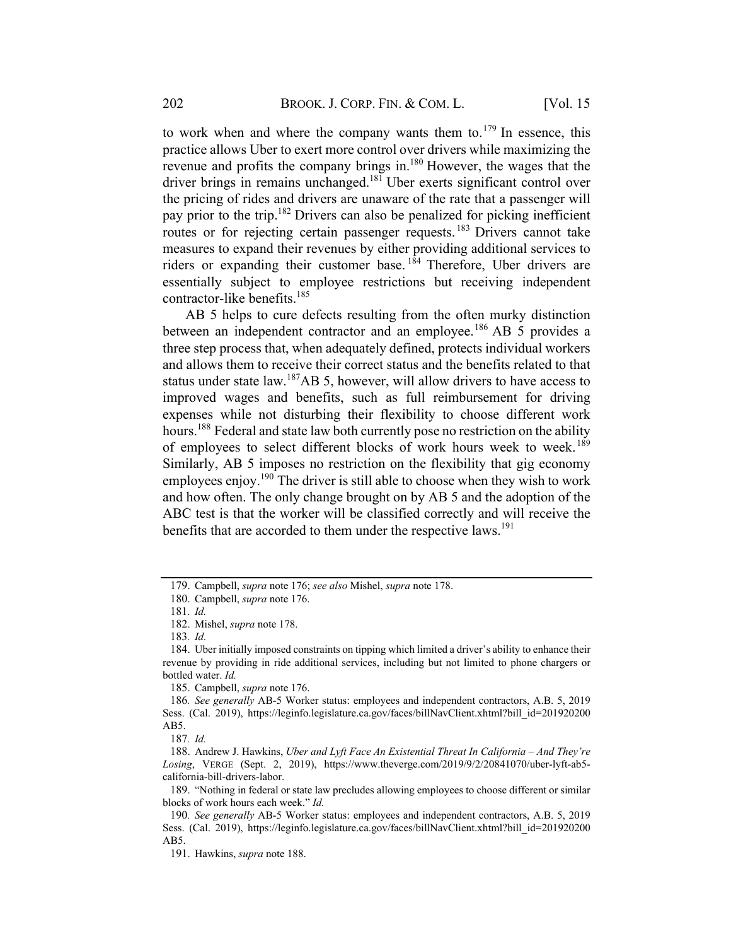to work when and where the company wants them to.<sup>179</sup> In essence, this practice allows Uber to exert more control over drivers while maximizing the revenue and profits the company brings in.180 However, the wages that the driver brings in remains unchanged.<sup>181</sup> Uber exerts significant control over the pricing of rides and drivers are unaware of the rate that a passenger will pay prior to the trip.<sup>182</sup> Drivers can also be penalized for picking inefficient routes or for rejecting certain passenger requests.<sup>183</sup> Drivers cannot take measures to expand their revenues by either providing additional services to riders or expanding their customer base.<sup>184</sup> Therefore, Uber drivers are essentially subject to employee restrictions but receiving independent contractor-like benefits.<sup>185</sup>

AB 5 helps to cure defects resulting from the often murky distinction between an independent contractor and an employee.<sup>186</sup> AB 5 provides a three step process that, when adequately defined, protects individual workers and allows them to receive their correct status and the benefits related to that status under state law.<sup>187</sup>AB 5, however, will allow drivers to have access to improved wages and benefits, such as full reimbursement for driving expenses while not disturbing their flexibility to choose different work hours.<sup>188</sup> Federal and state law both currently pose no restriction on the ability of employees to select different blocks of work hours week to week.<sup>189</sup> Similarly, AB 5 imposes no restriction on the flexibility that gig economy employees enjoy.<sup>190</sup> The driver is still able to choose when they wish to work and how often. The only change brought on by AB 5 and the adoption of the ABC test is that the worker will be classified correctly and will receive the benefits that are accorded to them under the respective laws.<sup>191</sup>

185. Campbell, supra note 176.

186. See generally AB-5 Worker status: employees and independent contractors, A.B. 5, 2019 Sess. (Cal. 2019), https://leginfo.legislature.ca.gov/faces/billNavClient.xhtml?bill\_id=201920200 AB5.

<sup>179.</sup> Campbell, supra note 176; see also Mishel, supra note 178.

<sup>180.</sup> Campbell, supra note 176.

<sup>181</sup>. Id.

<sup>182.</sup> Mishel, supra note 178.

<sup>183</sup>. Id.

<sup>184.</sup> Uber initially imposed constraints on tipping which limited a driver's ability to enhance their revenue by providing in ride additional services, including but not limited to phone chargers or bottled water. Id.

<sup>187</sup>. Id.

<sup>188.</sup> Andrew J. Hawkins, Uber and Lyft Face An Existential Threat In California – And They're Losing, VERGE (Sept. 2, 2019), https://www.theverge.com/2019/9/2/20841070/uber-lyft-ab5 california-bill-drivers-labor.

<sup>189.</sup> "Nothing in federal or state law precludes allowing employees to choose different or similar blocks of work hours each week." Id.

<sup>190</sup>. See generally AB-5 Worker status: employees and independent contractors, A.B. 5, 2019 Sess. (Cal. 2019), https://leginfo.legislature.ca.gov/faces/billNavClient.xhtml?bill\_id=201920200 AB5.

<sup>191.</sup> Hawkins, supra note 188.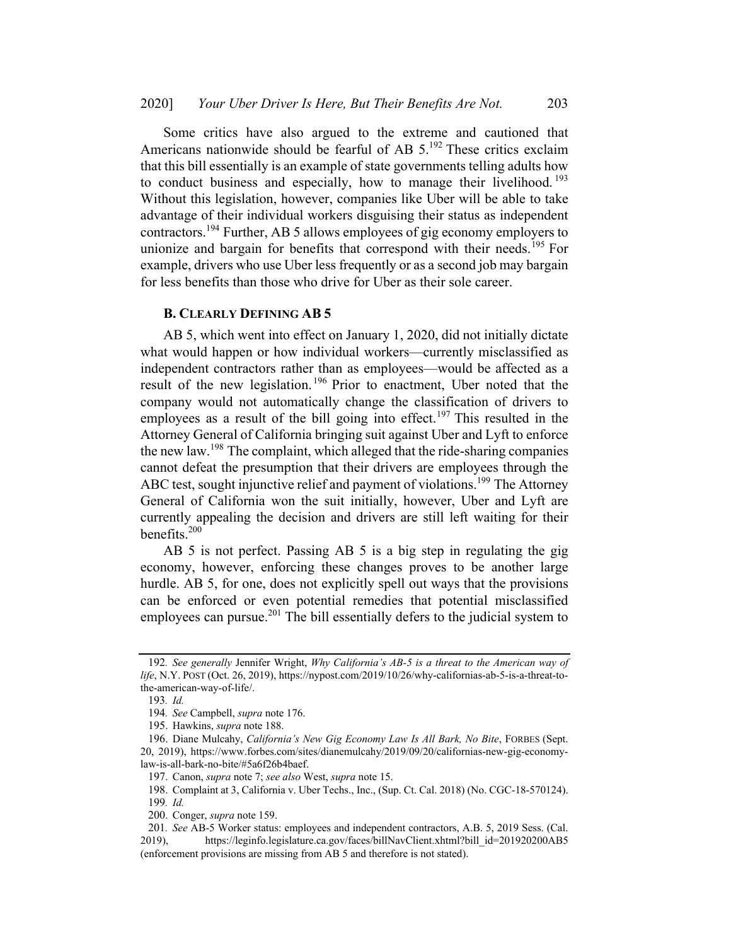Some critics have also argued to the extreme and cautioned that Americans nationwide should be fearful of AB  $5.^{192}$  These critics exclaim that this bill essentially is an example of state governments telling adults how to conduct business and especially, how to manage their livelihood.<sup>193</sup> Without this legislation, however, companies like Uber will be able to take advantage of their individual workers disguising their status as independent contractors.<sup>194</sup> Further, AB 5 allows employees of gig economy employers to unionize and bargain for benefits that correspond with their needs.<sup>195</sup> For example, drivers who use Uber less frequently or as a second job may bargain for less benefits than those who drive for Uber as their sole career.

#### **B. CLEARLY DEFINING AB 5**

AB 5, which went into effect on January 1, 2020, did not initially dictate what would happen or how individual workers—currently misclassified as independent contractors rather than as employees—would be affected as a result of the new legislation. <sup>196</sup> Prior to enactment, Uber noted that the company would not automatically change the classification of drivers to employees as a result of the bill going into effect.<sup>197</sup> This resulted in the Attorney General of California bringing suit against Uber and Lyft to enforce the new law.<sup>198</sup> The complaint, which alleged that the ride-sharing companies cannot defeat the presumption that their drivers are employees through the ABC test, sought injunctive relief and payment of violations.<sup>199</sup> The Attorney General of California won the suit initially, however, Uber and Lyft are currently appealing the decision and drivers are still left waiting for their benefits.<sup>200</sup>

AB 5 is not perfect. Passing AB 5 is a big step in regulating the gig economy, however, enforcing these changes proves to be another large hurdle. AB 5, for one, does not explicitly spell out ways that the provisions can be enforced or even potential remedies that potential misclassified employees can pursue.<sup>201</sup> The bill essentially defers to the judicial system to

<sup>192.</sup> See generally Jennifer Wright, Why California's AB-5 is a threat to the American way of life, N.Y. POST (Oct. 26, 2019), https://nypost.com/2019/10/26/why-californias-ab-5-is-a-threat-tothe-american-way-of-life/.

<sup>193</sup>. Id.

<sup>194</sup>. See Campbell, supra note 176.

<sup>195.</sup> Hawkins, supra note 188.

<sup>196.</sup> Diane Mulcahy, California's New Gig Economy Law Is All Bark, No Bite, FORBES (Sept. 20, 2019), https://www.forbes.com/sites/dianemulcahy/2019/09/20/californias-new-gig-economylaw-is-all-bark-no-bite/#5a6f26b4baef.

<sup>197.</sup> Canon, supra note 7; see also West, supra note 15.

<sup>198.</sup> Complaint at 3, California v. Uber Techs., Inc., (Sup. Ct. Cal. 2018) (No. CGC-18-570124). 199. Id.

<sup>200.</sup> Conger, supra note 159.

<sup>201</sup>. See AB-5 Worker status: employees and independent contractors, A.B. 5, 2019 Sess. (Cal. 2019), https://leginfo.legislature.ca.gov/faces/billNavClient.xhtml?bill\_id=201920200AB5 (enforcement provisions are missing from AB 5 and therefore is not stated).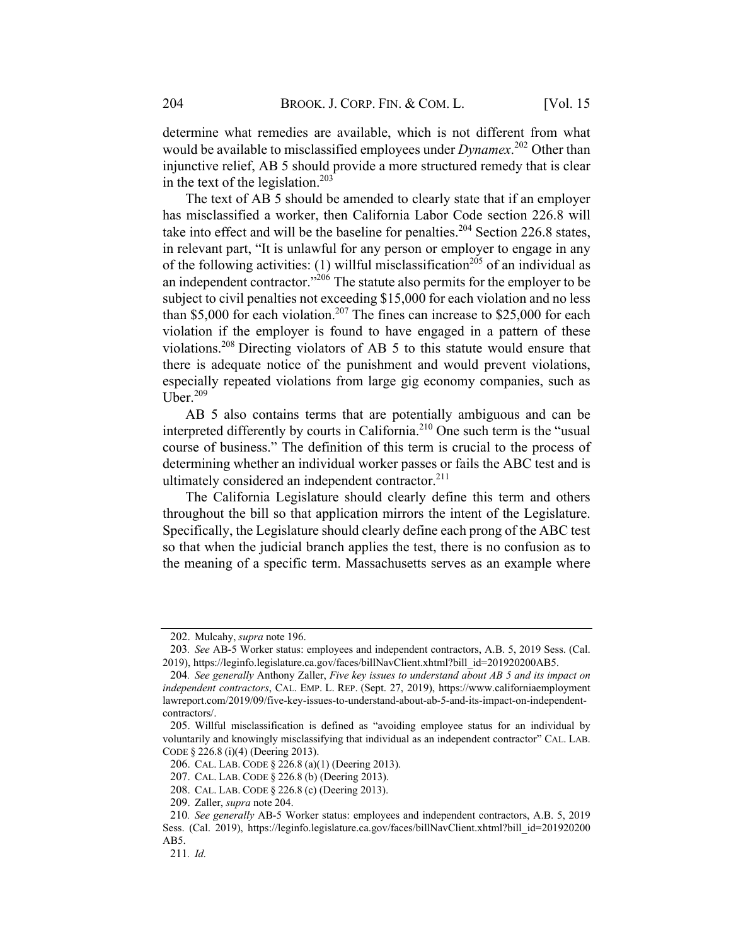determine what remedies are available, which is not different from what would be available to misclassified employees under  $Dynamex$ <sup>202</sup> Other than injunctive relief, AB 5 should provide a more structured remedy that is clear in the text of the legislation.<sup>203</sup>

The text of AB 5 should be amended to clearly state that if an employer has misclassified a worker, then California Labor Code section 226.8 will take into effect and will be the baseline for penalties.<sup>204</sup> Section 226.8 states, in relevant part, "It is unlawful for any person or employer to engage in any of the following activities: (1) willful misclassification<sup>205</sup> of an individual as an independent contractor."<sup>206</sup> The statute also permits for the employer to be subject to civil penalties not exceeding \$15,000 for each violation and no less than \$5,000 for each violation.<sup>207</sup> The fines can increase to \$25,000 for each violation if the employer is found to have engaged in a pattern of these violations.208 Directing violators of AB 5 to this statute would ensure that there is adequate notice of the punishment and would prevent violations, especially repeated violations from large gig economy companies, such as Uber. $209$ 

AB 5 also contains terms that are potentially ambiguous and can be interpreted differently by courts in California.<sup>210</sup> One such term is the "usual course of business." The definition of this term is crucial to the process of determining whether an individual worker passes or fails the ABC test and is ultimately considered an independent contractor. $^{211}$ 

The California Legislature should clearly define this term and others throughout the bill so that application mirrors the intent of the Legislature. Specifically, the Legislature should clearly define each prong of the ABC test so that when the judicial branch applies the test, there is no confusion as to the meaning of a specific term. Massachusetts serves as an example where

<sup>202.</sup> Mulcahy, supra note 196.

<sup>203</sup>. See AB-5 Worker status: employees and independent contractors, A.B. 5, 2019 Sess. (Cal. 2019), https://leginfo.legislature.ca.gov/faces/billNavClient.xhtml?bill\_id=201920200AB5.

<sup>204</sup>. See generally Anthony Zaller, Five key issues to understand about AB 5 and its impact on independent contractors, CAL. EMP. L. REP. (Sept. 27, 2019), https://www.californiaemployment lawreport.com/2019/09/five-key-issues-to-understand-about-ab-5-and-its-impact-on-independentcontractors/.

<sup>205.</sup> Willful misclassification is defined as "avoiding employee status for an individual by voluntarily and knowingly misclassifying that individual as an independent contractor" CAL. LAB. CODE § 226.8 (i)(4) (Deering 2013).

<sup>206.</sup> CAL. LAB. CODE § 226.8 (a)(1) (Deering 2013).

<sup>207.</sup> CAL. LAB. CODE § 226.8 (b) (Deering 2013).

<sup>208.</sup> CAL. LAB. CODE § 226.8 (c) (Deering 2013).

<sup>209.</sup> Zaller, supra note 204.

<sup>210</sup>. See generally AB-5 Worker status: employees and independent contractors, A.B. 5, 2019 Sess. (Cal. 2019), https://leginfo.legislature.ca.gov/faces/billNavClient.xhtml?bill\_id=201920200 AB5.

<sup>211</sup>. Id.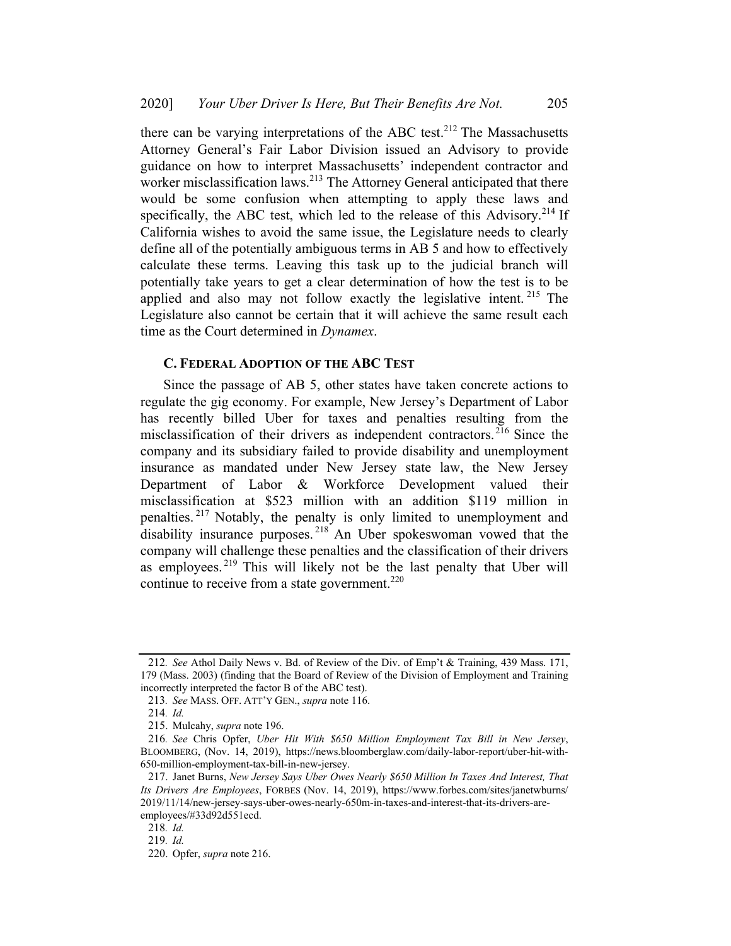there can be varying interpretations of the ABC test.<sup>212</sup> The Massachusetts Attorney General's Fair Labor Division issued an Advisory to provide guidance on how to interpret Massachusetts' independent contractor and worker misclassification laws.<sup>213</sup> The Attorney General anticipated that there would be some confusion when attempting to apply these laws and specifically, the ABC test, which led to the release of this Advisory.<sup>214</sup> If California wishes to avoid the same issue, the Legislature needs to clearly define all of the potentially ambiguous terms in AB 5 and how to effectively calculate these terms. Leaving this task up to the judicial branch will potentially take years to get a clear determination of how the test is to be applied and also may not follow exactly the legislative intent.<sup>215</sup> The Legislature also cannot be certain that it will achieve the same result each time as the Court determined in *Dynamex*.

## C. FEDERAL ADOPTION OF THE ABC TEST

Since the passage of AB 5, other states have taken concrete actions to regulate the gig economy. For example, New Jersey's Department of Labor has recently billed Uber for taxes and penalties resulting from the misclassification of their drivers as independent contractors. <sup>216</sup> Since the company and its subsidiary failed to provide disability and unemployment insurance as mandated under New Jersey state law, the New Jersey Department of Labor & Workforce Development valued their misclassification at \$523 million with an addition \$119 million in penalties. <sup>217</sup> Notably, the penalty is only limited to unemployment and disability insurance purposes.<sup>218</sup> An Uber spokeswoman vowed that the company will challenge these penalties and the classification of their drivers as employees. <sup>219</sup> This will likely not be the last penalty that Uber will continue to receive from a state government. $220$ 

<sup>212</sup>. See Athol Daily News v. Bd. of Review of the Div. of Emp't & Training, 439 Mass. 171, 179 (Mass. 2003) (finding that the Board of Review of the Division of Employment and Training incorrectly interpreted the factor B of the ABC test).

<sup>213</sup>. See MASS. OFF. ATT'Y GEN., supra note 116.

<sup>214</sup>. Id.

<sup>215.</sup> Mulcahy, supra note 196.

<sup>216</sup>. See Chris Opfer, Uber Hit With \$650 Million Employment Tax Bill in New Jersey, BLOOMBERG, (Nov. 14, 2019), https://news.bloomberglaw.com/daily-labor-report/uber-hit-with-650-million-employment-tax-bill-in-new-jersey.

<sup>217.</sup> Janet Burns, New Jersey Says Uber Owes Nearly \$650 Million In Taxes And Interest, That Its Drivers Are Employees, FORBES (Nov. 14, 2019), https://www.forbes.com/sites/janetwburns/ 2019/11/14/new-jersey-says-uber-owes-nearly-650m-in-taxes-and-interest-that-its-drivers-areemployees/#33d92d551ecd.

<sup>218</sup>. Id.

<sup>219</sup>. Id.

<sup>220.</sup> Opfer, supra note 216.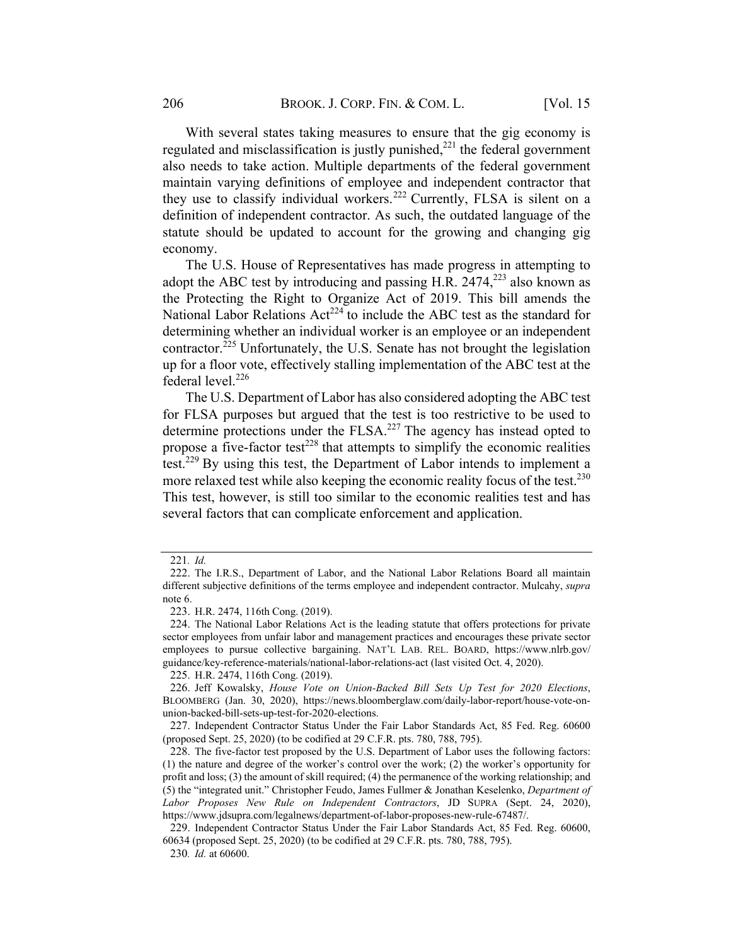With several states taking measures to ensure that the gig economy is regulated and misclassification is justly punished, $^{221}$  the federal government also needs to take action. Multiple departments of the federal government maintain varying definitions of employee and independent contractor that they use to classify individual workers.<sup>222</sup> Currently, FLSA is silent on a definition of independent contractor. As such, the outdated language of the statute should be updated to account for the growing and changing gig economy.

The U.S. House of Representatives has made progress in attempting to adopt the ABC test by introducing and passing H.R.  $2474$ ,  $2^{223}$  also known as the Protecting the Right to Organize Act of 2019. This bill amends the National Labor Relations Act<sup>224</sup> to include the ABC test as the standard for determining whether an individual worker is an employee or an independent contractor.<sup>225</sup> Unfortunately, the U.S. Senate has not brought the legislation up for a floor vote, effectively stalling implementation of the ABC test at the federal level.<sup>226</sup>

The U.S. Department of Labor has also considered adopting the ABC test for FLSA purposes but argued that the test is too restrictive to be used to determine protections under the FLSA.<sup>227</sup> The agency has instead opted to propose a five-factor test<sup>228</sup> that attempts to simplify the economic realities test.<sup>229</sup> By using this test, the Department of Labor intends to implement a more relaxed test while also keeping the economic reality focus of the test.<sup>230</sup> This test, however, is still too similar to the economic realities test and has several factors that can complicate enforcement and application.

<sup>221</sup>. Id.

<sup>222.</sup> The I.R.S., Department of Labor, and the National Labor Relations Board all maintain different subjective definitions of the terms employee and independent contractor. Mulcahy, supra note 6.

<sup>223.</sup> H.R. 2474, 116th Cong. (2019).

<sup>224.</sup> The National Labor Relations Act is the leading statute that offers protections for private sector employees from unfair labor and management practices and encourages these private sector employees to pursue collective bargaining. NAT'L LAB. REL. BOARD, https://www.nlrb.gov/ guidance/key-reference-materials/national-labor-relations-act (last visited Oct. 4, 2020).

<sup>225.</sup> H.R. 2474, 116th Cong. (2019).

<sup>226.</sup> Jeff Kowalsky, House Vote on Union-Backed Bill Sets Up Test for 2020 Elections, BLOOMBERG (Jan. 30, 2020), https://news.bloomberglaw.com/daily-labor-report/house-vote-onunion-backed-bill-sets-up-test-for-2020-elections.

<sup>227.</sup> Independent Contractor Status Under the Fair Labor Standards Act, 85 Fed. Reg. 60600 (proposed Sept. 25, 2020) (to be codified at 29 C.F.R. pts. 780, 788, 795).

<sup>228.</sup> The five-factor test proposed by the U.S. Department of Labor uses the following factors: (1) the nature and degree of the worker's control over the work; (2) the worker's opportunity for profit and loss; (3) the amount of skill required; (4) the permanence of the working relationship; and (5) the "integrated unit." Christopher Feudo, James Fullmer & Jonathan Keselenko, Department of Labor Proposes New Rule on Independent Contractors, JD SUPRA (Sept. 24, 2020), https://www.jdsupra.com/legalnews/department-of-labor-proposes-new-rule-67487/.

<sup>229.</sup> Independent Contractor Status Under the Fair Labor Standards Act, 85 Fed. Reg. 60600, 60634 (proposed Sept. 25, 2020) (to be codified at 29 C.F.R. pts. 780, 788, 795).

<sup>230</sup>. Id. at 60600.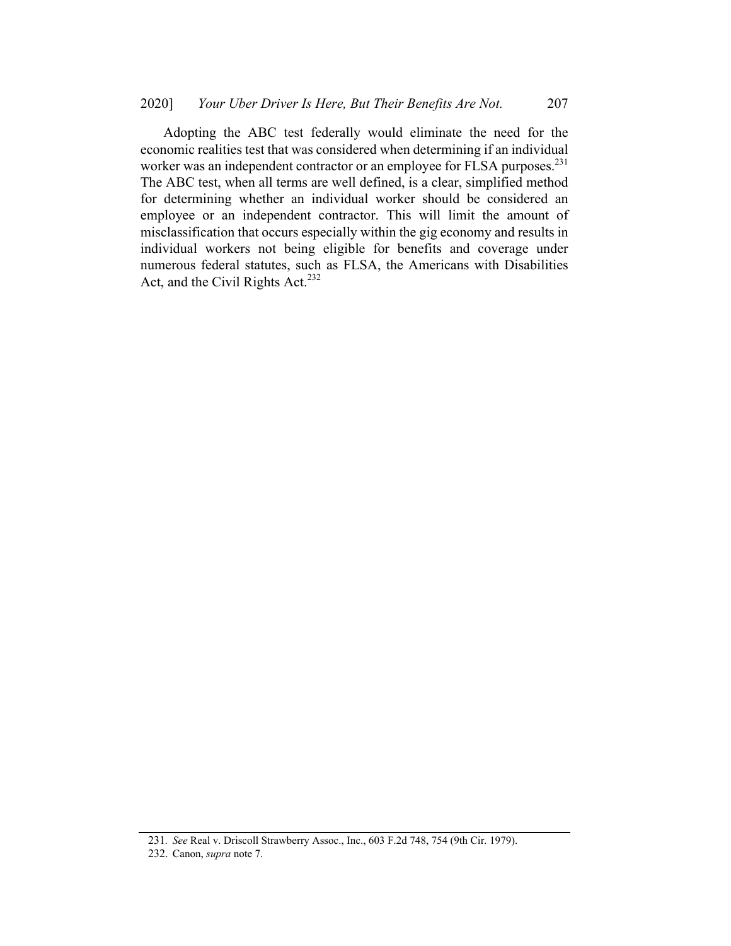Adopting the ABC test federally would eliminate the need for the economic realities test that was considered when determining if an individual worker was an independent contractor or an employee for FLSA purposes.<sup>231</sup> The ABC test, when all terms are well defined, is a clear, simplified method for determining whether an individual worker should be considered an employee or an independent contractor. This will limit the amount of misclassification that occurs especially within the gig economy and results in individual workers not being eligible for benefits and coverage under numerous federal statutes, such as FLSA, the Americans with Disabilities Act, and the Civil Rights Act.<sup>232</sup>

<sup>231</sup>. See Real v. Driscoll Strawberry Assoc., Inc., 603 F.2d 748, 754 (9th Cir. 1979).

<sup>232.</sup> Canon, supra note 7.